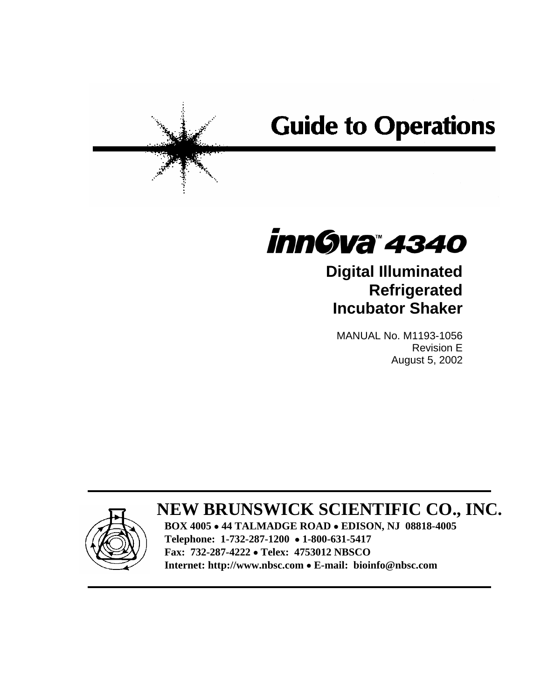# **Guide to Operations**



**Refrigerated Incubator Shaker** 

 MANUAL No. M1193-1056 Revision E August 5, 2002



### **NEW BRUNSWICK SCIENTIFIC CO., INC.**

**BOX 4005** • **44 TALMADGE ROAD** • **EDISON, NJ 08818-4005 Telephone: 1-732-287-1200** • **1-800-631-5417 Fax: 732-287-4222** • **Telex: 4753012 NBSCO Internet: http://www.nbsc.com** • **E-mail: bioinfo@nbsc.com**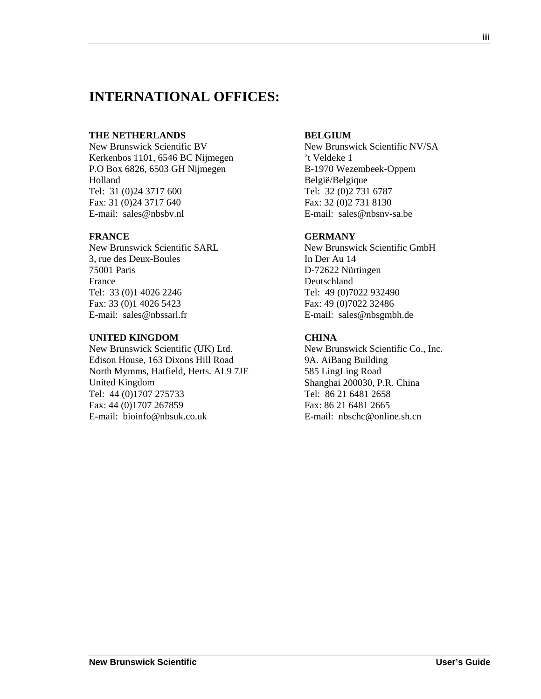### **INTERNATIONAL OFFICES:**

#### **THE NETHERLANDS**

New Brunswick Scientific BV Kerkenbos 1101, 6546 BC Nijmegen P.O Box 6826, 6503 GH Nijmegen Holland Tel: 31 (0)24 3717 600 Fax: 31 (0)24 3717 640 E-mail: sales@nbsbv.nl

#### **FRANCE**

New Brunswick Scientific SARL 3, rue des Deux-Boules 75001 Paris France Tel: 33 (0)1 4026 2246 Fax: 33 (0)1 4026 5423 E-mail: sales@nbssarl.fr

#### **UNITED KINGDOM**

New Brunswick Scientific (UK) Ltd. Edison House, 163 Dixons Hill Road North Mymms, Hatfield, Herts. AL9 7JE United Kingdom Tel: 44 (0)1707 275733 Fax: 44 (0)1707 267859 E-mail: bioinfo@nbsuk.co.uk

#### **BELGIUM**

New Brunswick Scientific NV/SA 't Veldeke 1 B-1970 Wezembeek-Oppem België/Belgique Tel: 32 (0)2 731 6787 Fax: 32 (0)2 731 8130 E-mail: sales@nbsnv-sa.be

#### **GERMANY**

New Brunswick Scientific GmbH In Der Au 14 D-72622 Nürtingen Deutschland Tel: 49 (0)7022 932490 Fax: 49 (0)7022 32486 E-mail: sales@nbsgmbh.de

#### **CHINA**

New Brunswick Scientific Co., Inc. 9A. AiBang Building 585 LingLing Road Shanghai 200030, P.R. China Tel: 86 21 6481 2658 Fax: 86 21 6481 2665 E-mail: nbschc@online.sh.cn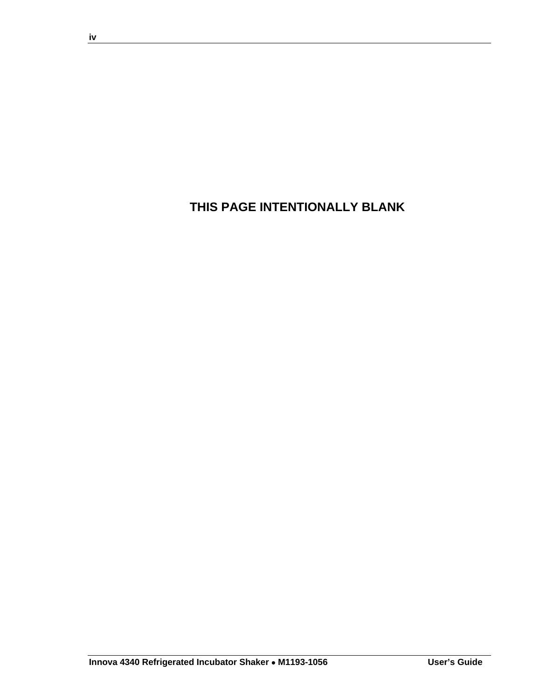### **THIS PAGE INTENTIONALLY BLANK**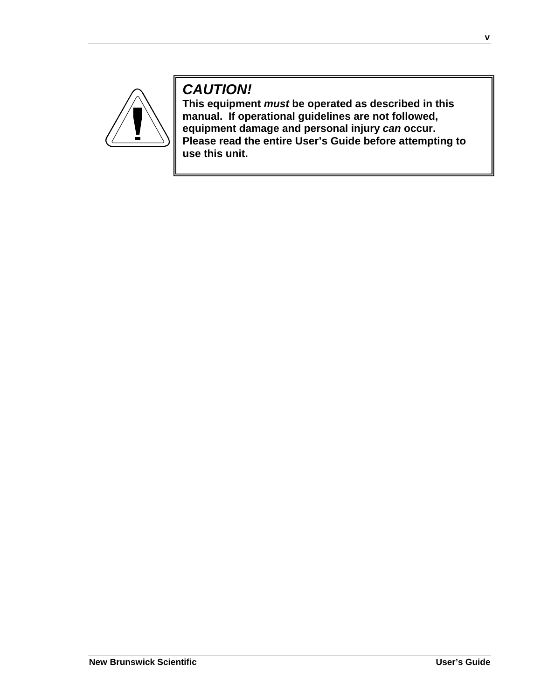

### *CAUTION!*

**This equipment** *must* **be operated as described in this manual. If operational guidelines are not followed, equipment damage and personal injury** *can* **occur. Please read the entire User's Guide before attempting to use this unit.**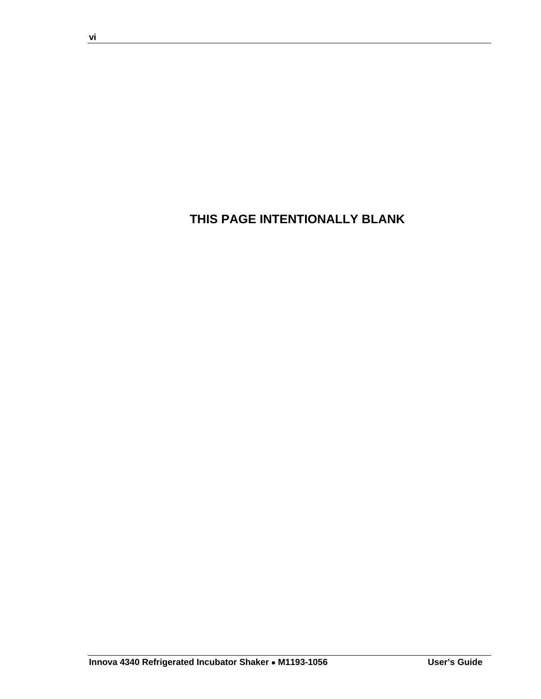### **THIS PAGE INTENTIONALLY BLANK**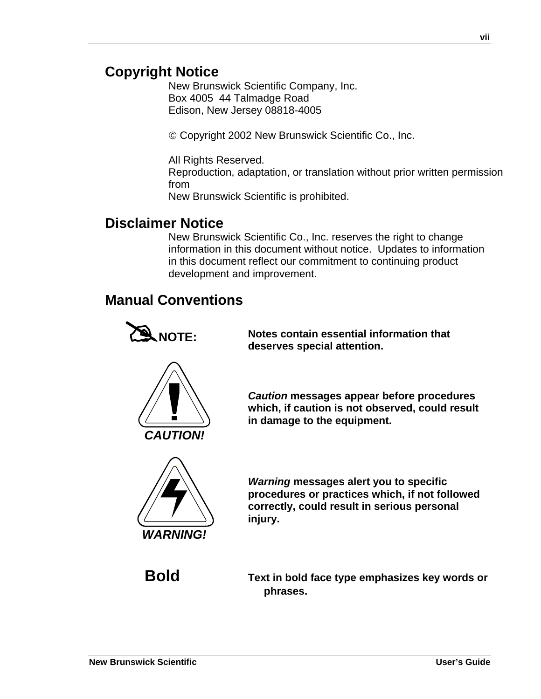### **Copyright Notice**

New Brunswick Scientific Company, Inc. Box 4005 44 Talmadge Road Edison, New Jersey 08818-4005

© Copyright 2002 New Brunswick Scientific Co., Inc.

All Rights Reserved.

Reproduction, adaptation, or translation without prior written permission from

New Brunswick Scientific is prohibited.

### **Disclaimer Notice**

New Brunswick Scientific Co., Inc. reserves the right to change information in this document without notice. Updates to information in this document reflect our commitment to continuing product development and improvement.

### **Manual Conventions**



**Notes contain essential information that deserves special attention.** 



*Caution* **messages appear before procedures which, if caution is not observed, could result in damage to the equipment.** 



*Warning* **messages alert you to specific procedures or practices which, if not followed correctly, could result in serious personal injury.** 

**Bold Text in bold face type emphasizes key words or phrases.**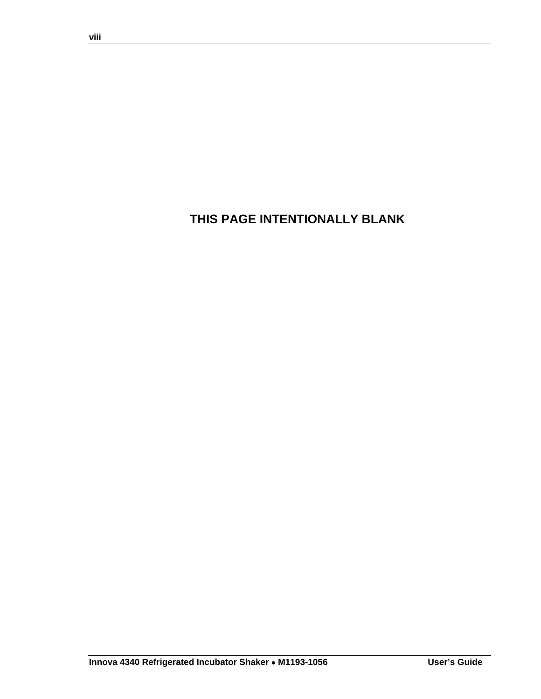**viii** 

### **THIS PAGE INTENTIONALLY BLANK**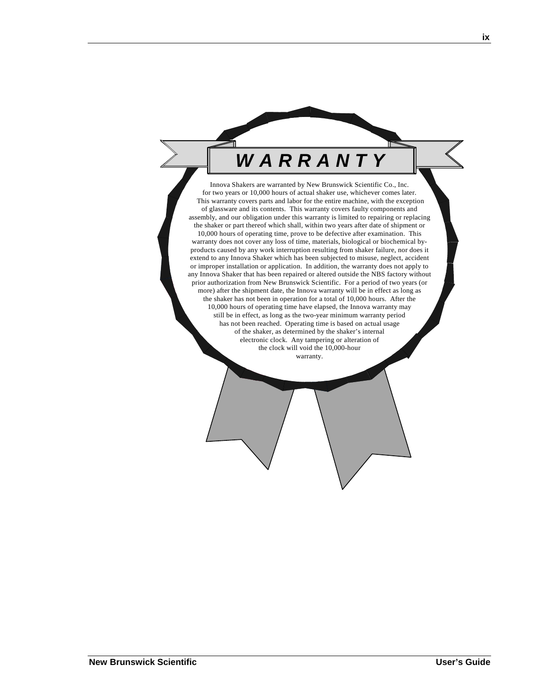# *W A R R A N T Y*

Innova Shakers are warranted by New Brunswick Scientific Co., Inc. for two years or 10,000 hours of actual shaker use, whichever comes later. This warranty covers parts and labor for the entire machine, with the exception of glassware and its contents. This warranty covers faulty components and assembly, and our obligation under this warranty is limited to repairing or replacing the shaker or part thereof which shall, within two years after date of shipment or 10,000 hours of operating time, prove to be defective after examination. This warranty does not cover any loss of time, materials, biological or biochemical byproducts caused by any work interruption resulting from shaker failure, nor does it extend to any Innova Shaker which has been subjected to misuse, neglect, accident or improper installation or application. In addition, the warranty does not apply to any Innova Shaker that has been repaired or altered outside the NBS factory without prior authorization from New Brunswick Scientific. For a period of two years (or more) after the shipment date, the Innova warranty will be in effect as long as the shaker has not been in operation for a total of 10,000 hours. After the 10,000 hours of operating time have elapsed, the Innova warranty may still be in effect, as long as the two-year minimum warranty period has not been reached. Operating time is based on actual usage of the shaker, as determined by the shaker's internal electronic clock. Any tampering or alteration of the clock will void the 10,000-hour warranty.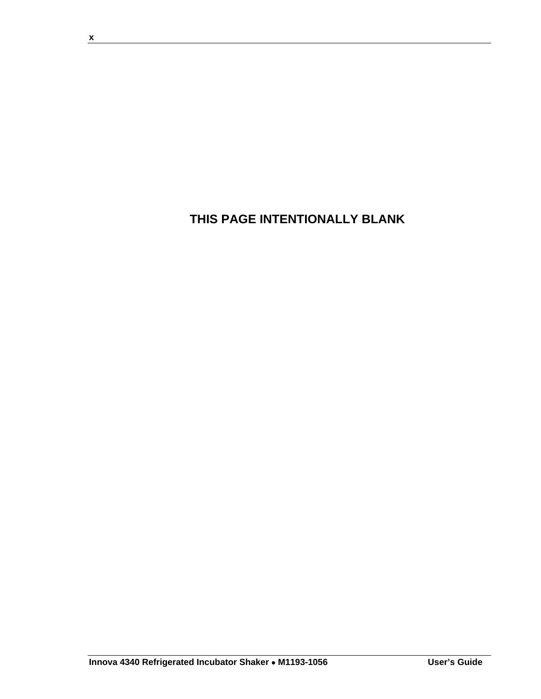**THIS PAGE INTENTIONALLY BLANK** 

**x**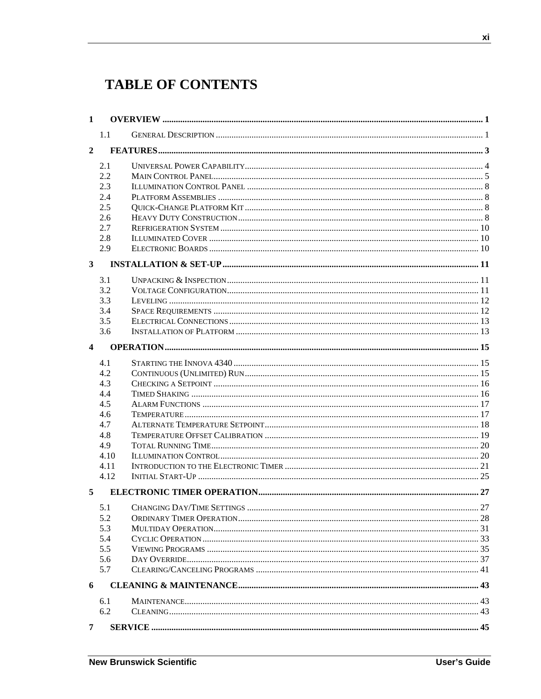### **TABLE OF CONTENTS**

| $\mathbf{1}$   |             |                                |    |  |
|----------------|-------------|--------------------------------|----|--|
|                | 1.1         |                                |    |  |
| $\overline{2}$ |             |                                |    |  |
|                | 2.1         |                                |    |  |
|                | 2.2         |                                |    |  |
|                | 2.3         |                                |    |  |
|                | 2.4         |                                |    |  |
|                | 2.5         |                                |    |  |
|                | 2.6         |                                |    |  |
|                | 2.7         |                                |    |  |
|                | 2.8         |                                |    |  |
|                | 2.9         |                                |    |  |
| 3              |             |                                |    |  |
|                | 3.1         |                                |    |  |
|                | 3.2         |                                |    |  |
|                | 3.3         |                                |    |  |
|                | 3.4         |                                |    |  |
|                | 3.5         |                                |    |  |
|                | 3.6         |                                |    |  |
| 4              |             |                                |    |  |
|                | 4.1         |                                |    |  |
|                | 4.2         |                                |    |  |
|                | 4.3         |                                |    |  |
|                | 4.4         |                                |    |  |
|                | 4.5         |                                |    |  |
|                | 4.6         |                                |    |  |
|                | 4.7         |                                |    |  |
|                | 4.8         |                                |    |  |
|                | 4.9<br>4.10 |                                |    |  |
|                | 4.11        |                                |    |  |
|                | 4.12        |                                |    |  |
|                |             |                                |    |  |
| 5              |             |                                |    |  |
|                |             | 5.1 CHANGING DAY/TIME SETTINGS | 27 |  |
|                | 5.2         |                                |    |  |
|                | 5.3         |                                |    |  |
|                | 5.4         |                                |    |  |
|                | 5.5         |                                |    |  |
|                | 5.6<br>5.7  |                                |    |  |
|                |             |                                |    |  |
| 6              |             |                                |    |  |
|                | 6.1         |                                |    |  |
|                | 6.2         |                                |    |  |
| $\overline{7}$ |             |                                |    |  |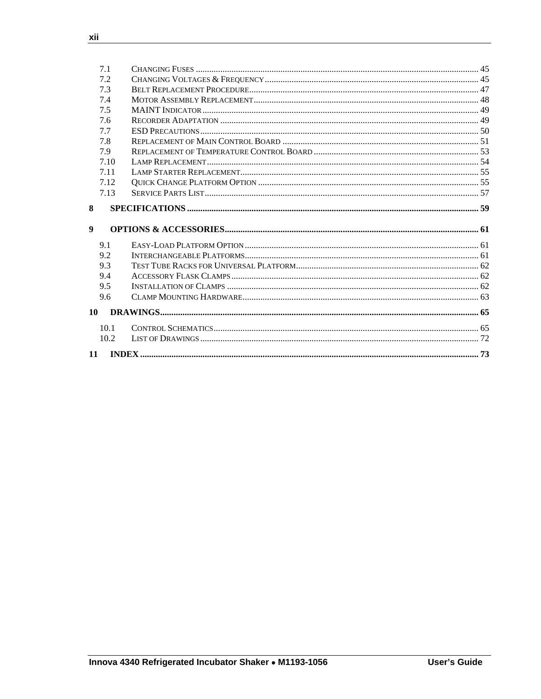| 7.1  |  |
|------|--|
| 7.2  |  |
| 7.3  |  |
| 7.4  |  |
| 7.5  |  |
| 7.6  |  |
| 7.7  |  |
| 7.8  |  |
| 7.9  |  |
| 7.10 |  |
| 7.11 |  |
| 7.12 |  |
| 7.13 |  |
| 8    |  |
| 9    |  |
| 9.1  |  |
| 9.2  |  |
| 9.3  |  |
| 9.4  |  |
|      |  |
| 9.5  |  |
| 9.6  |  |
| 10   |  |
| 10.1 |  |
| 10.2 |  |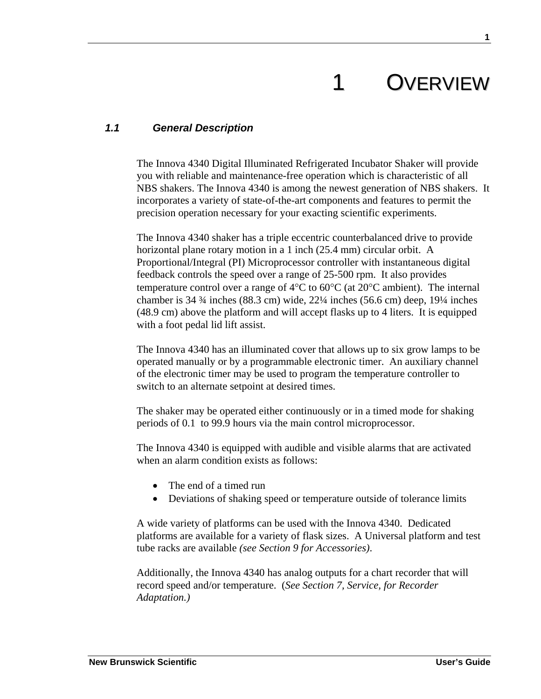# 1 OVERVIEW

#### <span id="page-12-0"></span>*1.1 General Description*

The Innova 4340 Digital Illuminated Refrigerated Incubator Shaker will provide you with reliable and maintenance-free operation which is characteristic of all NBS shakers. The Innova 4340 is among the newest generation of NBS shakers. It incorporates a variety of state-of-the-art components and features to permit the precision operation necessary for your exacting scientific experiments.

The Innova 4340 shaker has a triple eccentric counterbalanced drive to provide horizontal plane rotary motion in a 1 inch (25.4 mm) circular orbit. A Proportional/Integral (PI) Microprocessor controller with instantaneous digital feedback controls the speed over a range of 25-500 rpm. It also provides temperature control over a range of  $4^{\circ}C$  to  $60^{\circ}C$  (at  $20^{\circ}C$  ambient). The internal chamber is 34 ¾ inches (88.3 cm) wide, 22¼ inches (56.6 cm) deep, 19¼ inches (48.9 cm) above the platform and will accept flasks up to 4 liters. It is equipped with a foot pedal lid lift assist.

The Innova 4340 has an illuminated cover that allows up to six grow lamps to be operated manually or by a programmable electronic timer. An auxiliary channel of the electronic timer may be used to program the temperature controller to switch to an alternate setpoint at desired times.

The shaker may be operated either continuously or in a timed mode for shaking periods of 0.1 to 99.9 hours via the main control microprocessor.

The Innova 4340 is equipped with audible and visible alarms that are activated when an alarm condition exists as follows:

- The end of a timed run
- Deviations of shaking speed or temperature outside of tolerance limits

A wide variety of platforms can be used with the Innova 4340. Dedicated platforms are available for a variety of flask sizes. A Universal platform and test tube racks are available *(see Section 9 for Accessories)*.

Additionally, the Innova 4340 has analog outputs for a chart recorder that will record speed and/or temperature. (*See Section 7, Service, for Recorder Adaptation.)*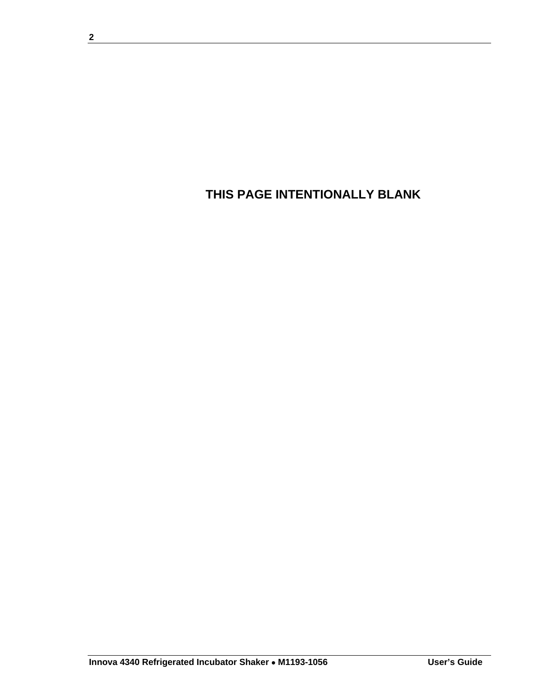**THIS PAGE INTENTIONALLY BLANK**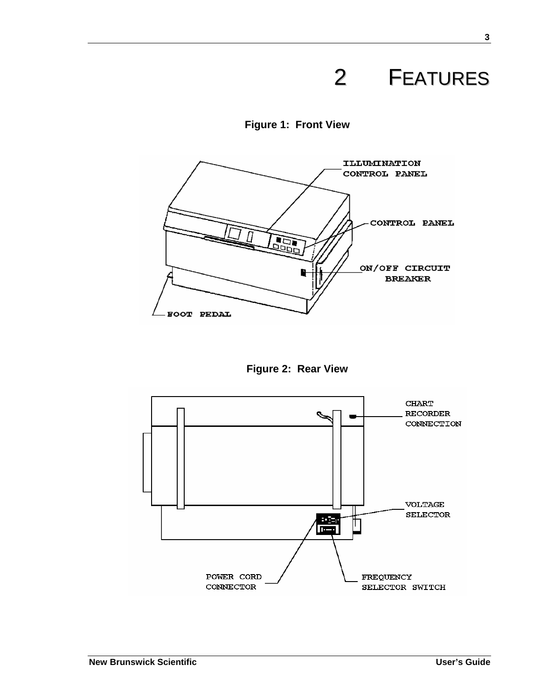# 2 FEATURES

**3** 



<span id="page-14-0"></span>

**Figure 2: Rear View** 

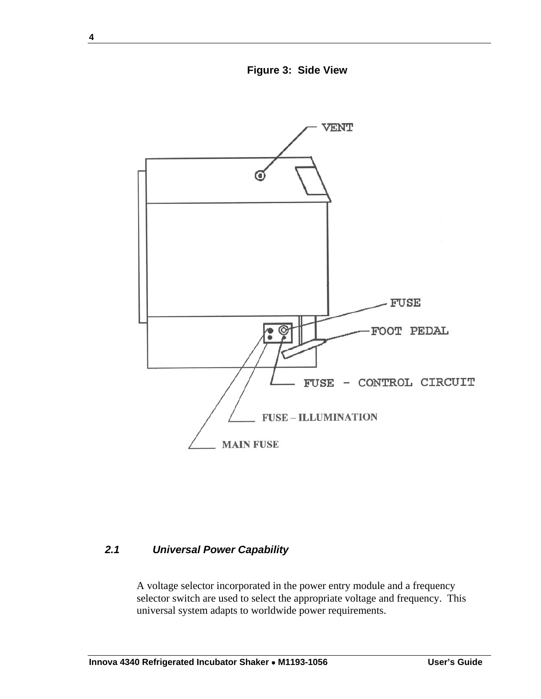

#### *2.1 Universal Power Capability*

<span id="page-15-0"></span>**4** 

A voltage selector incorporated in the power entry module and a frequency selector switch are used to select the appropriate voltage and frequency. This universal system adapts to worldwide power requirements.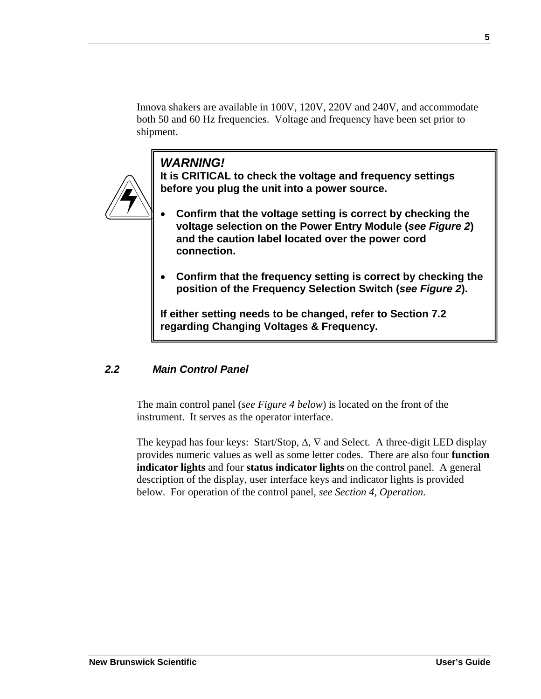<span id="page-16-0"></span>Innova shakers are available in 100V, 120V, 220V and 240V, and accommodate both 50 and 60 Hz frequencies. Voltage and frequency have been set prior to shipment.

### *WARNING!*



**It is CRITICAL to check the voltage and frequency settings before you plug the unit into a power source.** 

- **Confirm that the voltage setting is correct by checking the voltage selection on the Power Entry Module (***see Figure 2***) and the caution label located over the power cord connection.**
- **Confirm that the frequency setting is correct by checking the position of the Frequency Selection Switch (***see Figure 2***).**

**If either setting needs to be changed, refer to Section 7.2 regarding Changing Voltages & Frequency.** 

#### *2.2 Main Control Panel*

The main control panel (*see Figure 4 below*) is located on the front of the instrument. It serves as the operator interface.

The keypad has four keys: Start/Stop,  $\Delta$ ,  $\nabla$  and Select. A three-digit LED display provides numeric values as well as some letter codes. There are also four **function indicator lights** and four **status indicator lights** on the control panel. A general description of the display, user interface keys and indicator lights is provided below. For operation of the control panel, *see Section 4, Operation.*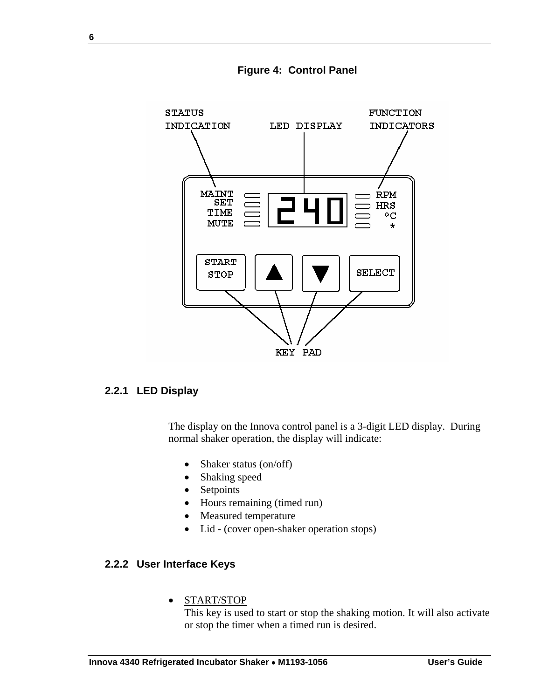



#### **2.2.1 LED Display**

The display on the Innova control panel is a 3-digit LED display. During normal shaker operation, the display will indicate:

- Shaker status (on/off)
- Shaking speed
- Setpoints
- Hours remaining (timed run)
- Measured temperature
- Lid (cover open-shaker operation stops)

#### **2.2.2 User Interface Keys**

#### • START/STOP

This key is used to start or stop the shaking motion. It will also activate or stop the timer when a timed run is desired.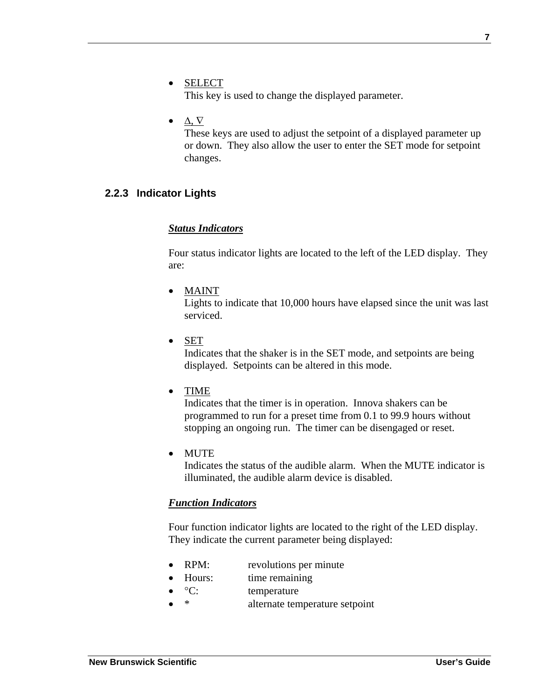$\bullet$   $\Delta$ ,  $\nabla$ 

• SELECT

These keys are used to adjust the setpoint of a displayed parameter up or down. They also allow the user to enter the SET mode for setpoint changes.

This key is used to change the displayed parameter.

#### **2.2.3 Indicator Lights**

#### *Status Indicators*

Four status indicator lights are located to the left of the LED display. They are:

- MAINT Lights to indicate that 10,000 hours have elapsed since the unit was last serviced.
- SET

Indicates that the shaker is in the SET mode, and setpoints are being displayed. Setpoints can be altered in this mode.

• TIME

Indicates that the timer is in operation. Innova shakers can be programmed to run for a preset time from 0.1 to 99.9 hours without stopping an ongoing run. The timer can be disengaged or reset.

• MUTE

Indicates the status of the audible alarm. When the MUTE indicator is illuminated, the audible alarm device is disabled.

#### *Function Indicators*

Four function indicator lights are located to the right of the LED display. They indicate the current parameter being displayed:

- RPM: revolutions per minute
- Hours: time remaining
- $°C:$  temperature
- \* alternate temperature setpoint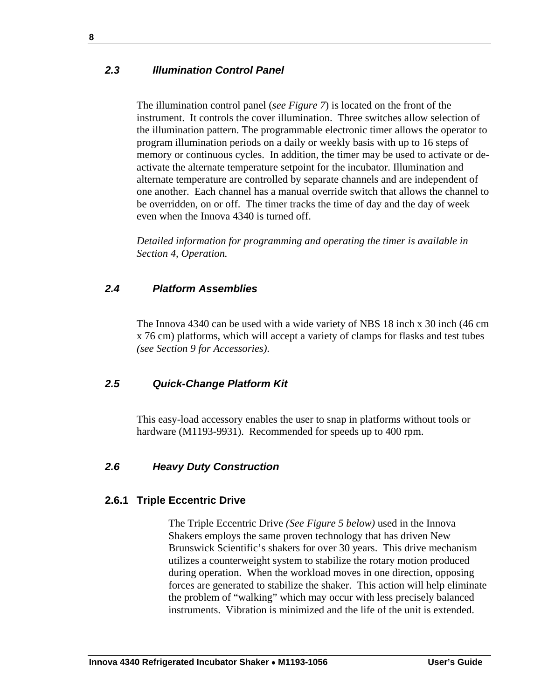#### <span id="page-19-0"></span>*2.3 Illumination Control Panel*

The illumination control panel (*see Figure 7*) is located on the front of the instrument. It controls the cover illumination. Three switches allow selection of the illumination pattern. The programmable electronic timer allows the operator to program illumination periods on a daily or weekly basis with up to 16 steps of memory or continuous cycles. In addition, the timer may be used to activate or deactivate the alternate temperature setpoint for the incubator. Illumination and alternate temperature are controlled by separate channels and are independent of one another. Each channel has a manual override switch that allows the channel to be overridden, on or off. The timer tracks the time of day and the day of week even when the Innova 4340 is turned off.

*Detailed information for programming and operating the timer is available in Section 4, Operation.* 

#### *2.4 Platform Assemblies*

The Innova 4340 can be used with a wide variety of NBS 18 inch x 30 inch (46 cm x 76 cm) platforms, which will accept a variety of clamps for flasks and test tubes *(see Section 9 for Accessories)*.

#### *2.5 Quick-Change Platform Kit*

This easy-load accessory enables the user to snap in platforms without tools or hardware (M1193-9931). Recommended for speeds up to 400 rpm.

#### *2.6 Heavy Duty Construction*

#### **2.6.1 Triple Eccentric Drive**

The Triple Eccentric Drive *(See Figure 5 below)* used in the Innova Shakers employs the same proven technology that has driven New Brunswick Scientific's shakers for over 30 years. This drive mechanism utilizes a counterweight system to stabilize the rotary motion produced during operation. When the workload moves in one direction, opposing forces are generated to stabilize the shaker. This action will help eliminate the problem of "walking" which may occur with less precisely balanced instruments. Vibration is minimized and the life of the unit is extended.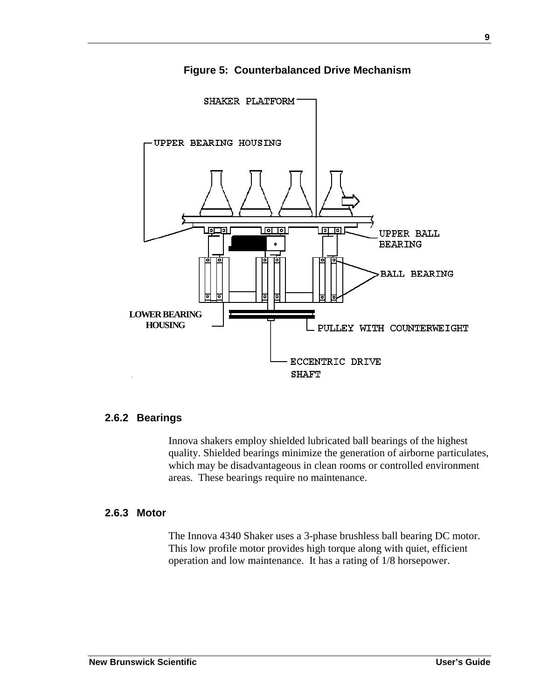**Figure 5: Counterbalanced Drive Mechanism** 



#### **2.6.2 Bearings**

Innova shakers employ shielded lubricated ball bearings of the highest quality. Shielded bearings minimize the generation of airborne particulates, which may be disadvantageous in clean rooms or controlled environment areas. These bearings require no maintenance.

#### **2.6.3 Motor**

The Innova 4340 Shaker uses a 3-phase brushless ball bearing DC motor. This low profile motor provides high torque along with quiet, efficient operation and low maintenance. It has a rating of 1/8 horsepower.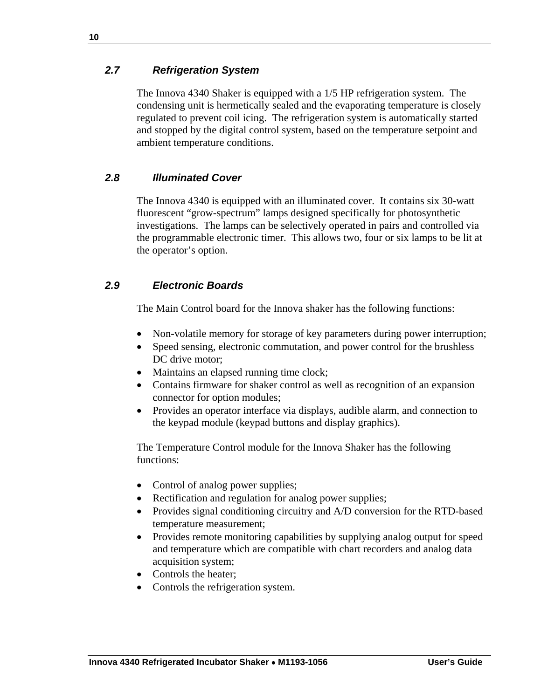#### <span id="page-21-0"></span>*2.7 Refrigeration System*

The Innova 4340 Shaker is equipped with a 1/5 HP refrigeration system. The condensing unit is hermetically sealed and the evaporating temperature is closely regulated to prevent coil icing. The refrigeration system is automatically started and stopped by the digital control system, based on the temperature setpoint and ambient temperature conditions.

#### *2.8 Illuminated Cover*

The Innova 4340 is equipped with an illuminated cover. It contains six 30-watt fluorescent "grow-spectrum" lamps designed specifically for photosynthetic investigations. The lamps can be selectively operated in pairs and controlled via the programmable electronic timer. This allows two, four or six lamps to be lit at the operator's option.

#### *2.9 Electronic Boards*

The Main Control board for the Innova shaker has the following functions:

- Non-volatile memory for storage of key parameters during power interruption;
- Speed sensing, electronic commutation, and power control for the brushless DC drive motor:
- Maintains an elapsed running time clock;
- Contains firmware for shaker control as well as recognition of an expansion connector for option modules;
- Provides an operator interface via displays, audible alarm, and connection to the keypad module (keypad buttons and display graphics).

The Temperature Control module for the Innova Shaker has the following functions:

- Control of analog power supplies;
- Rectification and regulation for analog power supplies;
- Provides signal conditioning circuitry and A/D conversion for the RTD-based temperature measurement;
- Provides remote monitoring capabilities by supplying analog output for speed and temperature which are compatible with chart recorders and analog data acquisition system;
- Controls the heater:
- Controls the refrigeration system.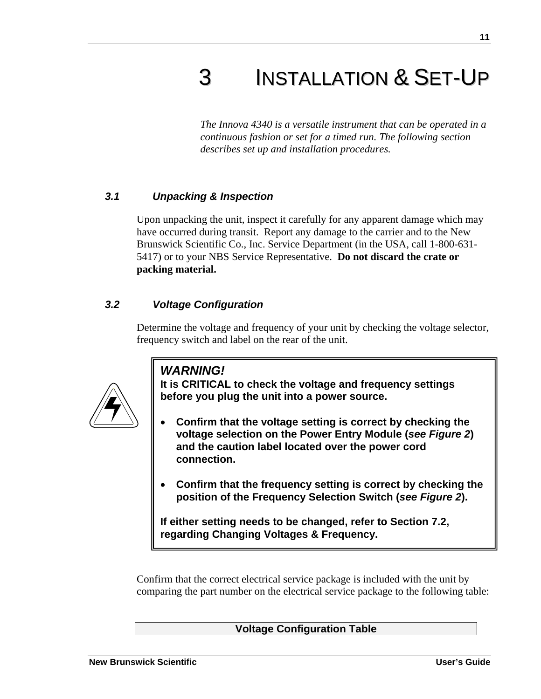# <span id="page-22-0"></span>3 INSTALLATION & SET-UP

*The Innova 4340 is a versatile instrument that can be operated in a continuous fashion or set for a timed run. The following section describes set up and installation procedures.* 

### *3.1 Unpacking & Inspection*

Upon unpacking the unit, inspect it carefully for any apparent damage which may have occurred during transit. Report any damage to the carrier and to the New Brunswick Scientific Co., Inc. Service Department (in the USA, call 1-800-631- 5417) or to your NBS Service Representative. **Do not discard the crate or packing material.**

### *3.2 Voltage Configuration*

Determine the voltage and frequency of your unit by checking the voltage selector, frequency switch and label on the rear of the unit.

### *WARNING!*

**It is CRITICAL to check the voltage and frequency settings before you plug the unit into a power source.** 

- **Confirm that the voltage setting is correct by checking the voltage selection on the Power Entry Module (***see Figure 2***) and the caution label located over the power cord connection.**
- **Confirm that the frequency setting is correct by checking the position of the Frequency Selection Switch (***see Figure 2***).**

**If either setting needs to be changed, refer to Section 7.2, regarding Changing Voltages & Frequency.** 

Confirm that the correct electrical service package is included with the unit by comparing the part number on the electrical service package to the following table:

#### **Voltage Configuration Table**

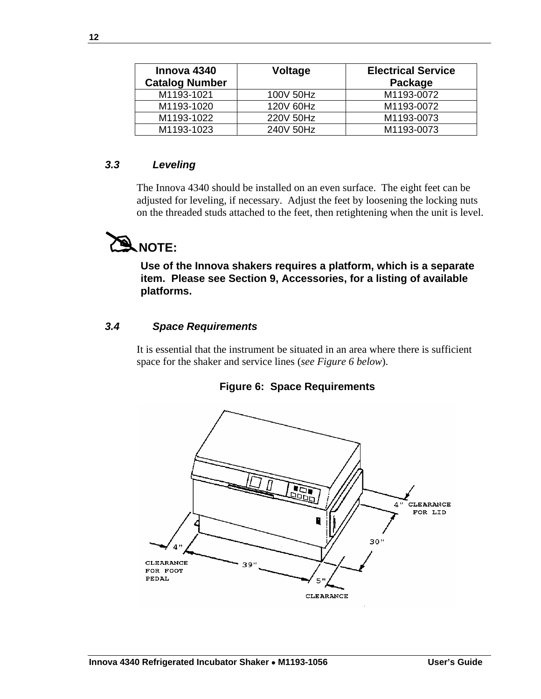<span id="page-23-0"></span>

| Innova 4340<br><b>Catalog Number</b> | Voltage   | <b>Electrical Service</b><br>Package |
|--------------------------------------|-----------|--------------------------------------|
| M1193-1021                           | 100V 50Hz | M1193-0072                           |
| M1193-1020                           | 120V 60Hz | M1193-0072                           |
| M1193-1022                           | 220V 50Hz | M1193-0073                           |
| M1193-1023                           | 240V 50Hz | M1193-0073                           |

#### *3.3 Leveling*

The Innova 4340 should be installed on an even surface. The eight feet can be adjusted for leveling, if necessary. Adjust the feet by loosening the locking nuts on the threaded studs attached to the feet, then retightening when the unit is level.

# $\mathbf{A}$  NOTE:

**Use of the Innova shakers requires a platform, which is a separate item. Please see Section 9, Accessories, for a listing of available platforms.** 

#### *3.4 Space Requirements*

It is essential that the instrument be situated in an area where there is sufficient space for the shaker and service lines (*see Figure 6 below*).

#### **Figure 6: Space Requirements**

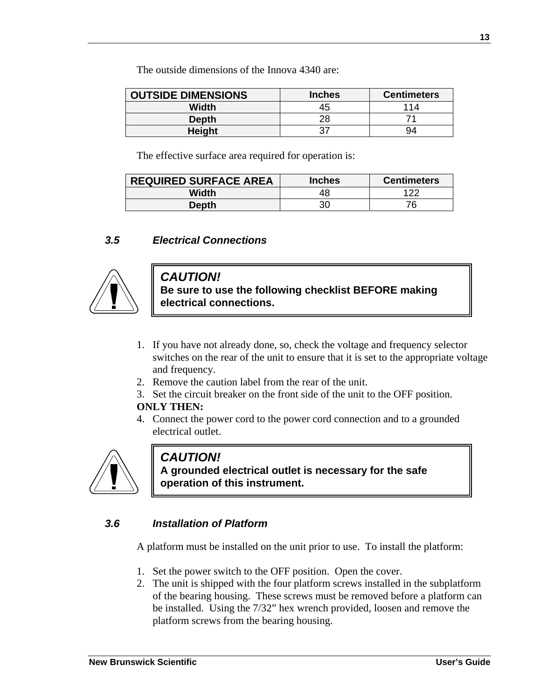<span id="page-24-0"></span>The outside dimensions of the Innova 4340 are:

| <b>OUTSIDE DIMENSIONS</b> | <b>Inches</b> | <b>Centimeters</b> |
|---------------------------|---------------|--------------------|
| Width                     | 45            | 114                |
| <b>Depth</b>              |               |                    |
| <b>Height</b>             |               | 94                 |

The effective surface area required for operation is:

| <b>REQUIRED SURFACE AREA</b> | <b>Inches</b> | <b>Centimeters</b> |
|------------------------------|---------------|--------------------|
| Width                        |               | 122                |
| Depth                        | 30            | 76.                |

#### *3.5 Electrical Connections*



*CAUTION!*  **Be sure to use the following checklist BEFORE making electrical connections.** 

- 1. If you have not already done, so, check the voltage and frequency selector switches on the rear of the unit to ensure that it is set to the appropriate voltage and frequency.
- 2. Remove the caution label from the rear of the unit.
- 3. Set the circuit breaker on the front side of the unit to the OFF position.

#### **ONLY THEN:**

4. Connect the power cord to the power cord connection and to a grounded electrical outlet.



### *CAUTION!*

**A grounded electrical outlet is necessary for the safe operation of this instrument.** 

### *3.6 Installation of Platform*

A platform must be installed on the unit prior to use. To install the platform:

- 1. Set the power switch to the OFF position. Open the cover.
- 2. The unit is shipped with the four platform screws installed in the subplatform of the bearing housing. These screws must be removed before a platform can be installed. Using the 7/32" hex wrench provided, loosen and remove the platform screws from the bearing housing.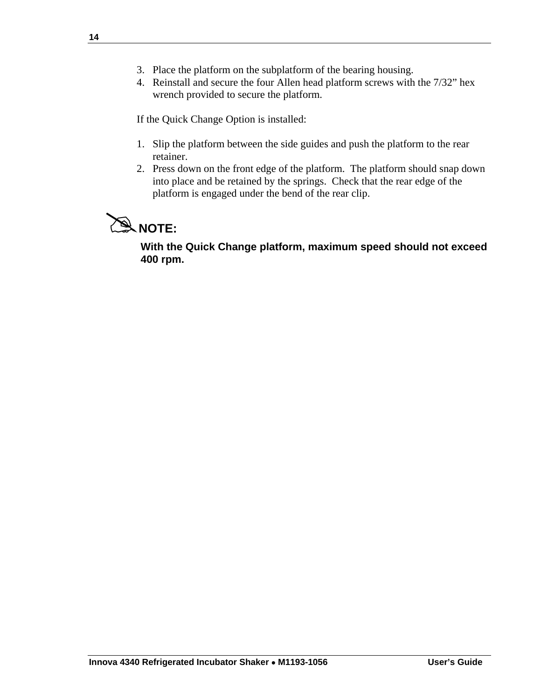- 3. Place the platform on the subplatform of the bearing housing.
- 4. Reinstall and secure the four Allen head platform screws with the 7/32" hex wrench provided to secure the platform.

If the Quick Change Option is installed:

- 1. Slip the platform between the side guides and push the platform to the rear retainer.
- 2. Press down on the front edge of the platform. The platform should snap down into place and be retained by the springs. Check that the rear edge of the platform is engaged under the bend of the rear clip.

### #**NOTE:**

**With the Quick Change platform, maximum speed should not exceed 400 rpm.**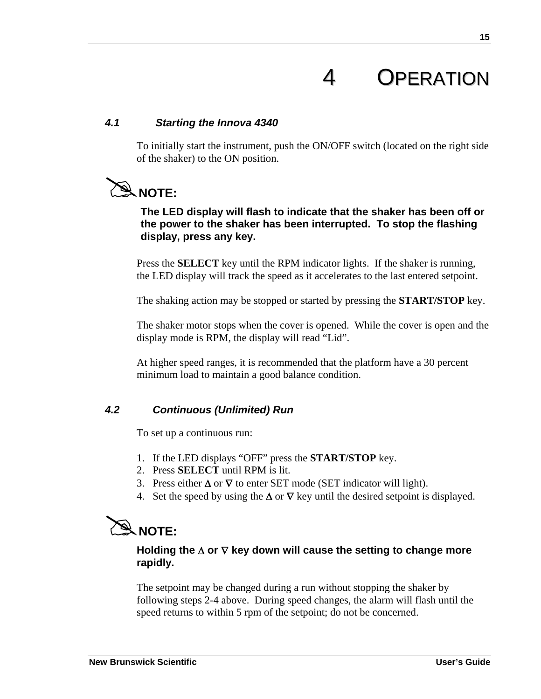# 4 OPERATION

#### <span id="page-26-0"></span>*4.1 Starting the Innova 4340*

To initially start the instrument, push the ON/OFF switch (located on the right side of the shaker) to the ON position.

# $\mathscr{A}$  NOTE:

#### **The LED display will flash to indicate that the shaker has been off or the power to the shaker has been interrupted. To stop the flashing display, press any key.**

Press the **SELECT** key until the RPM indicator lights. If the shaker is running, the LED display will track the speed as it accelerates to the last entered setpoint.

The shaking action may be stopped or started by pressing the **START/STOP** key.

The shaker motor stops when the cover is opened. While the cover is open and the display mode is RPM, the display will read "Lid".

At higher speed ranges, it is recommended that the platform have a 30 percent minimum load to maintain a good balance condition.

#### *4.2 Continuous (Unlimited) Run*

To set up a continuous run:

- 1. If the LED displays "OFF" press the **START/STOP** key.
- 2. Press **SELECT** until RPM is lit.
- 3. Press either  $\Delta$  or  $\nabla$  to enter SET mode (SET indicator will light).
- 4. Set the speed by using the  $\Delta$  or  $\nabla$  key until the desired setpoint is displayed.

# #**NOTE:**

#### **Holding the** Δ **or** ∇ **key down will cause the setting to change more rapidly.**

The setpoint may be changed during a run without stopping the shaker by following steps 2-4 above. During speed changes, the alarm will flash until the speed returns to within 5 rpm of the setpoint; do not be concerned.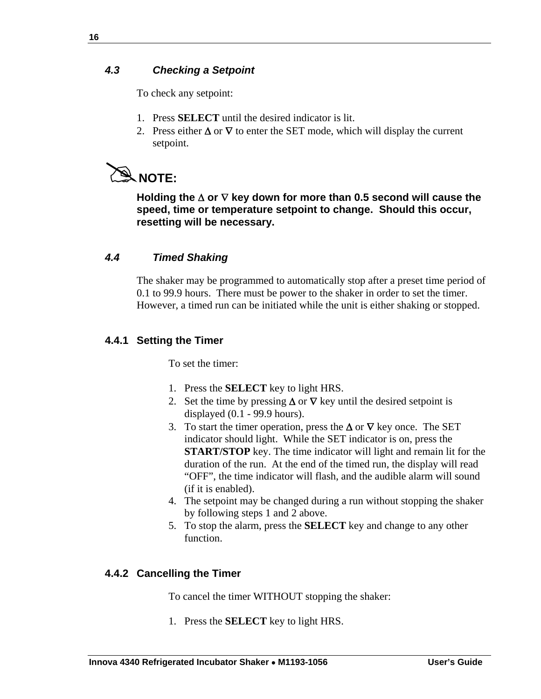#### <span id="page-27-0"></span>*4.3 Checking a Setpoint*

To check any setpoint:

- 1. Press **SELECT** until the desired indicator is lit.
- 2. Press either  $\Delta$  or  $\nabla$  to enter the SET mode, which will display the current setpoint.

# $\triangle$  NOTE:

**Holding the** Δ **or** ∇ **key down for more than 0.5 second will cause the speed, time or temperature setpoint to change. Should this occur, resetting will be necessary.** 

#### *4.4 Timed Shaking*

The shaker may be programmed to automatically stop after a preset time period of 0.1 to 99.9 hours. There must be power to the shaker in order to set the timer. However, a timed run can be initiated while the unit is either shaking or stopped.

#### **4.4.1 Setting the Timer**

To set the timer:

- 1. Press the **SELECT** key to light HRS.
- 2. Set the time by pressing  $\Delta$  or  $\nabla$  key until the desired setpoint is displayed (0.1 - 99.9 hours).
- 3. To start the timer operation, press the  $\Delta$  or  $\nabla$  key once. The SET indicator should light. While the SET indicator is on, press the **START/STOP** key. The time indicator will light and remain lit for the duration of the run. At the end of the timed run, the display will read "OFF", the time indicator will flash, and the audible alarm will sound (if it is enabled).
- 4. The setpoint may be changed during a run without stopping the shaker by following steps 1 and 2 above.
- 5. To stop the alarm, press the **SELECT** key and change to any other function.

#### **4.4.2 Cancelling the Timer**

To cancel the timer WITHOUT stopping the shaker:

1. Press the **SELECT** key to light HRS.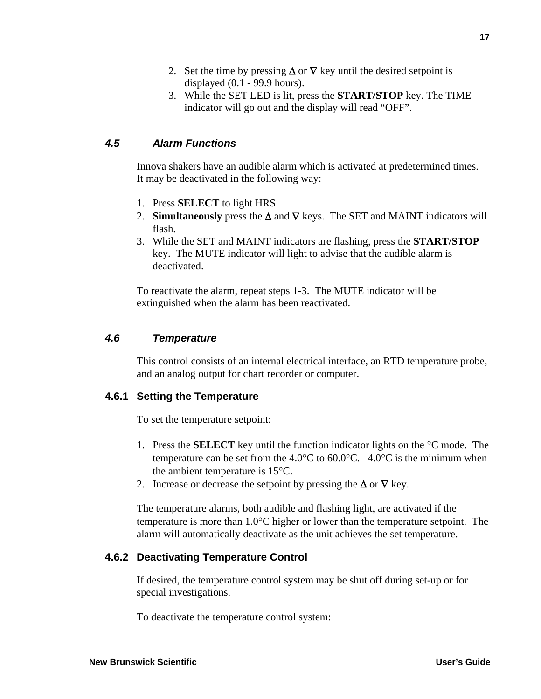- 2. Set the time by pressing  $\Delta$  or  $\nabla$  key until the desired setpoint is displayed (0.1 - 99.9 hours).
- 3. While the SET LED is lit, press the **START/STOP** key. The TIME indicator will go out and the display will read "OFF".

#### <span id="page-28-0"></span>*4.5 Alarm Functions*

Innova shakers have an audible alarm which is activated at predetermined times. It may be deactivated in the following way:

- 1. Press **SELECT** to light HRS.
- 2. **Simultaneously** press the  $\Delta$  and  $\nabla$  keys. The SET and MAINT indicators will flash.
- 3. While the SET and MAINT indicators are flashing, press the **START/STOP** key. The MUTE indicator will light to advise that the audible alarm is deactivated.

To reactivate the alarm, repeat steps 1-3. The MUTE indicator will be extinguished when the alarm has been reactivated.

#### *4.6 Temperature*

This control consists of an internal electrical interface, an RTD temperature probe, and an analog output for chart recorder or computer.

#### **4.6.1 Setting the Temperature**

To set the temperature setpoint:

- 1. Press the **SELECT** key until the function indicator lights on the °C mode. The temperature can be set from the  $4.0^{\circ}$ C to  $60.0^{\circ}$ C.  $4.0^{\circ}$ C is the minimum when the ambient temperature is 15°C.
- 2. Increase or decrease the setpoint by pressing the  $\Delta$  or  $\nabla$  key.

The temperature alarms, both audible and flashing light, are activated if the temperature is more than 1.0°C higher or lower than the temperature setpoint. The alarm will automatically deactivate as the unit achieves the set temperature.

#### **4.6.2 Deactivating Temperature Control**

If desired, the temperature control system may be shut off during set-up or for special investigations.

To deactivate the temperature control system: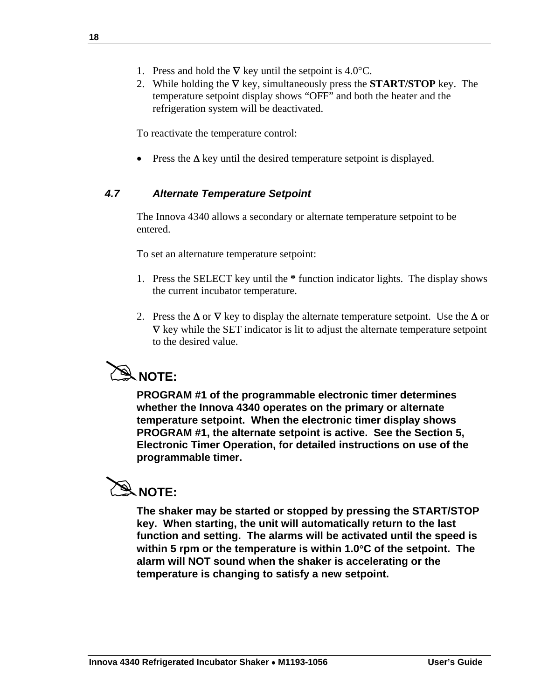- <span id="page-29-0"></span>1. Press and hold the  $\nabla$  key until the setpoint is 4.0°C.
- 2. While holding the ∇ key, simultaneously press the **START/STOP** key. The temperature setpoint display shows "OFF" and both the heater and the refrigeration system will be deactivated.

To reactivate the temperature control:

• Press the  $\Delta$  key until the desired temperature setpoint is displayed.

#### *4.7 Alternate Temperature Setpoint*

The Innova 4340 allows a secondary or alternate temperature setpoint to be entered.

To set an alternature temperature setpoint:

- 1. Press the SELECT key until the **\*** function indicator lights. The display shows the current incubator temperature.
- 2. Press the  $\Delta$  or  $\nabla$  key to display the alternate temperature setpoint. Use the  $\Delta$  or ∇ key while the SET indicator is lit to adjust the alternate temperature setpoint to the desired value.

# $\mathbb{R}$  NOTE:

**PROGRAM #1 of the programmable electronic timer determines whether the Innova 4340 operates on the primary or alternate temperature setpoint. When the electronic timer display shows PROGRAM #1, the alternate setpoint is active. See the Section 5, Electronic Timer Operation, for detailed instructions on use of the programmable timer.** 

# $\mathscr{L}$  NOTE:

**The shaker may be started or stopped by pressing the START/STOP key. When starting, the unit will automatically return to the last function and setting. The alarms will be activated until the speed is within 5 rpm or the temperature is within 1.0**°**C of the setpoint. The alarm will NOT sound when the shaker is accelerating or the temperature is changing to satisfy a new setpoint.**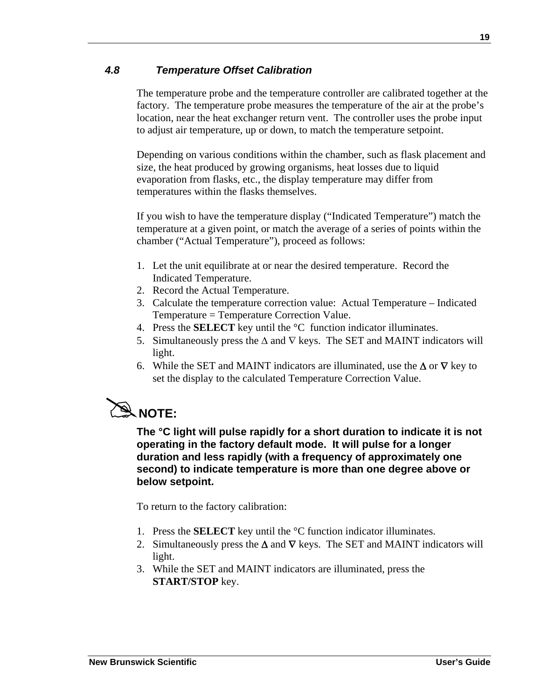#### <span id="page-30-0"></span>*4.8 Temperature Offset Calibration*

The temperature probe and the temperature controller are calibrated together at the factory. The temperature probe measures the temperature of the air at the probe's location, near the heat exchanger return vent. The controller uses the probe input to adjust air temperature, up or down, to match the temperature setpoint.

Depending on various conditions within the chamber, such as flask placement and size, the heat produced by growing organisms, heat losses due to liquid evaporation from flasks, etc., the display temperature may differ from temperatures within the flasks themselves.

If you wish to have the temperature display ("Indicated Temperature") match the temperature at a given point, or match the average of a series of points within the chamber ("Actual Temperature"), proceed as follows:

- 1. Let the unit equilibrate at or near the desired temperature. Record the Indicated Temperature.
- 2. Record the Actual Temperature.
- 3. Calculate the temperature correction value: Actual Temperature Indicated Temperature = Temperature Correction Value.
- 4. Press the **SELECT** key until the °C function indicator illuminates.
- 5. Simultaneously press the  $\Delta$  and  $\nabla$  keys. The SET and MAINT indicators will light.
- 6. While the SET and MAINT indicators are illuminated, use the  $\Delta$  or  $\nabla$  key to set the display to the calculated Temperature Correction Value.

# $\mathcal{R}$  note:

**The °C light will pulse rapidly for a short duration to indicate it is not operating in the factory default mode. It will pulse for a longer duration and less rapidly (with a frequency of approximately one second) to indicate temperature is more than one degree above or below setpoint.** 

To return to the factory calibration:

- 1. Press the **SELECT** key until the °C function indicator illuminates.
- 2. Simultaneously press the  $\Delta$  and  $\nabla$  keys. The SET and MAINT indicators will light.
- 3. While the SET and MAINT indicators are illuminated, press the **START/STOP** key.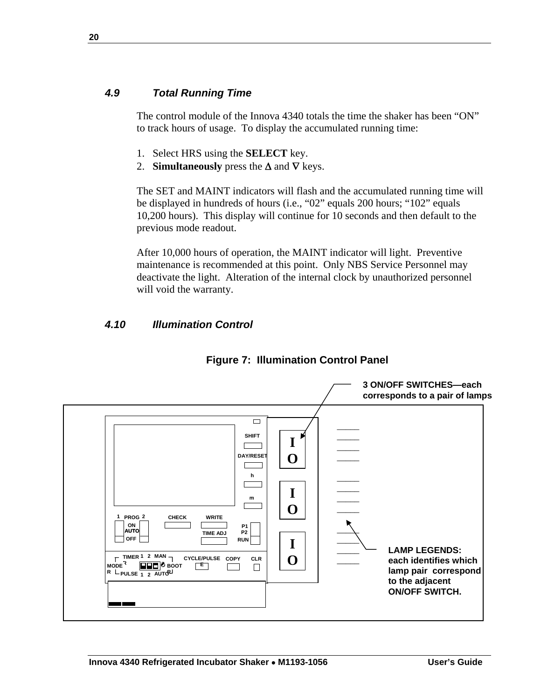#### <span id="page-31-0"></span>*4.9 Total Running Time*

The control module of the Innova 4340 totals the time the shaker has been "ON" to track hours of usage. To display the accumulated running time:

- 1. Select HRS using the **SELECT** key.
- 2. **Simultaneously** press the  $\Delta$  and  $\nabla$  keys.

The SET and MAINT indicators will flash and the accumulated running time will be displayed in hundreds of hours (i.e., "02" equals 200 hours; "102" equals 10,200 hours). This display will continue for 10 seconds and then default to the previous mode readout.

After 10,000 hours of operation, the MAINT indicator will light. Preventive maintenance is recommended at this point. Only NBS Service Personnel may deactivate the light. Alteration of the internal clock by unauthorized personnel will void the warranty.

#### *4.10 Illumination Control*



#### **Figure 7: Illumination Control Panel**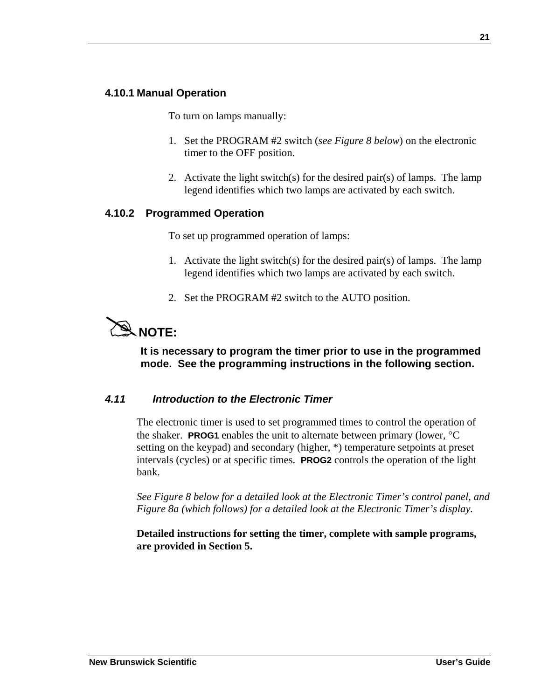#### <span id="page-32-0"></span>**4.10.1 Manual Operation**

To turn on lamps manually:

- 1. Set the PROGRAM #2 switch (*see Figure 8 below*) on the electronic timer to the OFF position.
- 2. Activate the light switch(s) for the desired pair(s) of lamps. The lamp legend identifies which two lamps are activated by each switch.

#### **4.10.2 Programmed Operation**

To set up programmed operation of lamps:

- 1. Activate the light switch(s) for the desired pair(s) of lamps. The lamp legend identifies which two lamps are activated by each switch.
- 2. Set the PROGRAM #2 switch to the AUTO position.

# #**NOTE:**

#### **It is necessary to program the timer prior to use in the programmed mode. See the programming instructions in the following section.**

#### *4.11 Introduction to the Electronic Timer*

The electronic timer is used to set programmed times to control the operation of the shaker. **PROG1** enables the unit to alternate between primary (lower, °C setting on the keypad) and secondary (higher, \*) temperature setpoints at preset intervals (cycles) or at specific times. **PROG2** controls the operation of the light bank.

*See Figure 8 below for a detailed look at the Electronic Timer's control panel, and Figure 8a (which follows) for a detailed look at the Electronic Timer's display.* 

**Detailed instructions for setting the timer, complete with sample programs, are provided in Section 5.**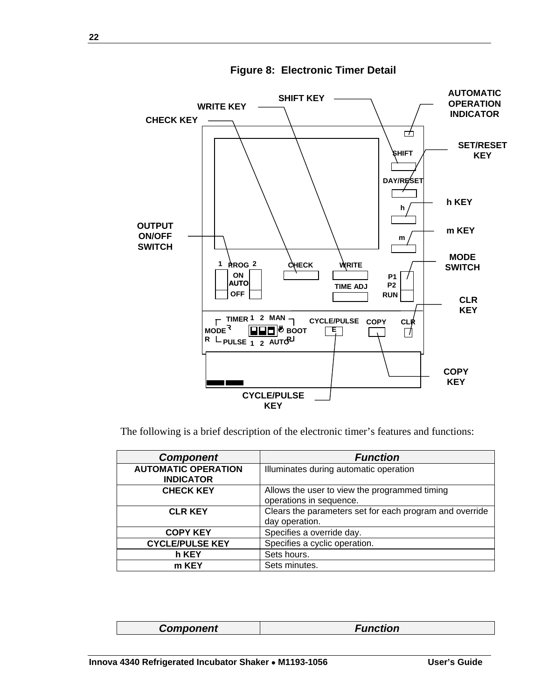

**Figure 8: Electronic Timer Detail** 

The following is a brief description of the electronic timer's features and functions:

| <b>Component</b>           | <b>Function</b>                                         |
|----------------------------|---------------------------------------------------------|
| <b>AUTOMATIC OPERATION</b> | Illuminates during automatic operation                  |
| <b>INDICATOR</b>           |                                                         |
| <b>CHECK KEY</b>           | Allows the user to view the programmed timing           |
|                            | operations in sequence.                                 |
| <b>CLR KEY</b>             | Clears the parameters set for each program and override |
|                            | day operation.                                          |
| <b>COPY KEY</b>            | Specifies a override day.                               |
| <b>CYCLE/PULSE KEY</b>     | Specifies a cyclic operation.                           |
| h KEY                      | Sets hours.                                             |
| m KEY                      | Sets minutes.                                           |

| Component | Function |
|-----------|----------|
|           |          |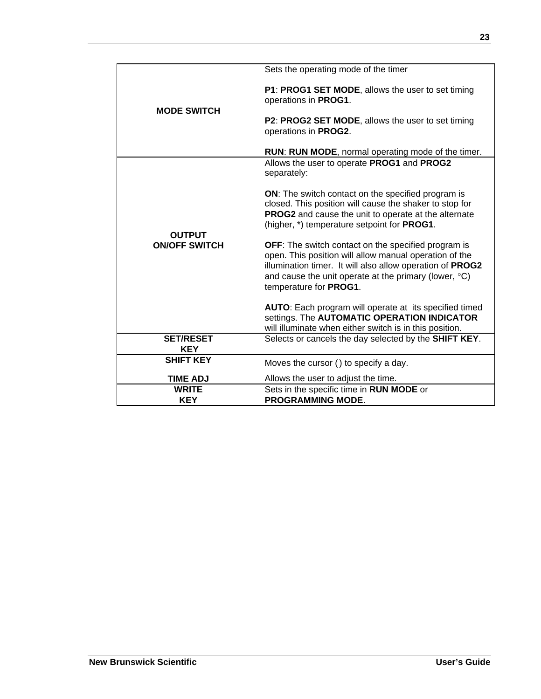| <b>MODE SWITCH</b>                    | Sets the operating mode of the timer                                                                                                                                                                                                                                            |
|---------------------------------------|---------------------------------------------------------------------------------------------------------------------------------------------------------------------------------------------------------------------------------------------------------------------------------|
|                                       | P1: PROG1 SET MODE, allows the user to set timing<br>operations in PROG1.                                                                                                                                                                                                       |
|                                       | P2: PROG2 SET MODE, allows the user to set timing<br>operations in PROG2.                                                                                                                                                                                                       |
|                                       | RUN: RUN MODE, normal operating mode of the timer.                                                                                                                                                                                                                              |
|                                       | Allows the user to operate PROG1 and PROG2<br>separately:                                                                                                                                                                                                                       |
| <b>OUTPUT</b><br><b>ON/OFF SWITCH</b> | ON: The switch contact on the specified program is<br>closed. This position will cause the shaker to stop for<br><b>PROG2</b> and cause the unit to operate at the alternate<br>(higher, *) temperature setpoint for PROG1.                                                     |
|                                       | <b>OFF:</b> The switch contact on the specified program is<br>open. This position will allow manual operation of the<br>illumination timer. It will also allow operation of PROG2<br>and cause the unit operate at the primary (lower, $\mathrm{C}$ )<br>temperature for PROG1. |
|                                       | AUTO: Each program will operate at its specified timed<br>settings. The AUTOMATIC OPERATION INDICATOR<br>will illuminate when either switch is in this position.                                                                                                                |
| <b>SET/RESET</b>                      | Selects or cancels the day selected by the SHIFT KEY.                                                                                                                                                                                                                           |
| <b>KEY</b>                            |                                                                                                                                                                                                                                                                                 |
| <b>SHIFT KEY</b>                      | Moves the cursor () to specify a day.                                                                                                                                                                                                                                           |
| <b>TIME ADJ</b>                       | Allows the user to adjust the time.                                                                                                                                                                                                                                             |
| <b>WRITE</b>                          | Sets in the specific time in RUN MODE or                                                                                                                                                                                                                                        |
| <b>KEY</b>                            | <b>PROGRAMMING MODE.</b>                                                                                                                                                                                                                                                        |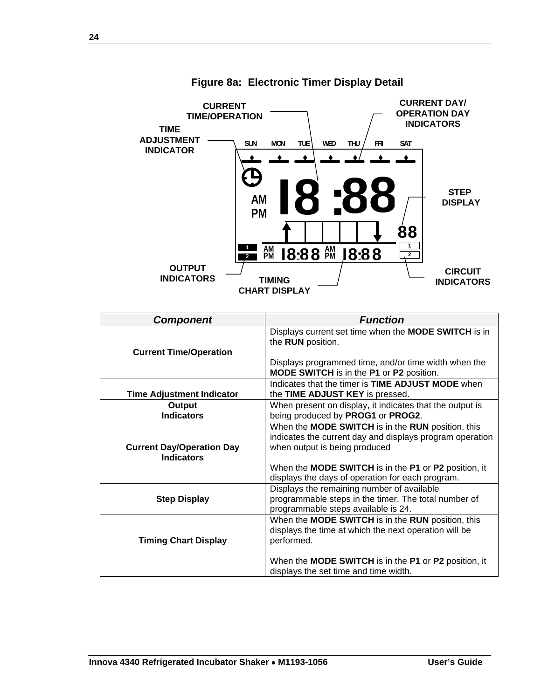

#### **Figure 8a: Electronic Timer Display Detail**

| <b>Component</b>                 | <b>Function</b>                                                                  |
|----------------------------------|----------------------------------------------------------------------------------|
|                                  | Displays current set time when the <b>MODE SWITCH</b> is in<br>the RUN position. |
| <b>Current Time/Operation</b>    |                                                                                  |
|                                  | Displays programmed time, and/or time width when the                             |
|                                  | MODE SWITCH is in the P1 or P2 position.                                         |
|                                  | Indicates that the timer is TIME ADJUST MODE when                                |
| <b>Time Adjustment Indicator</b> | the TIME ADJUST KEY is pressed.                                                  |
| Output                           | When present on display, it indicates that the output is                         |
| <b>Indicators</b>                | being produced by PROG1 or PROG2.                                                |
|                                  | When the MODE SWITCH is in the RUN position, this                                |
|                                  | indicates the current day and displays program operation                         |
| <b>Current Day/Operation Day</b> | when output is being produced                                                    |
| <b>Indicators</b>                |                                                                                  |
|                                  | When the MODE SWITCH is in the P1 or P2 position, it                             |
|                                  | displays the days of operation for each program.                                 |
|                                  | Displays the remaining number of available                                       |
| <b>Step Display</b>              | programmable steps in the timer. The total number of                             |
|                                  | programmable steps available is 24.                                              |
|                                  | When the MODE SWITCH is in the RUN position, this                                |
|                                  | displays the time at which the next operation will be                            |
| <b>Timing Chart Display</b>      | performed.                                                                       |
|                                  |                                                                                  |
|                                  | When the MODE SWITCH is in the P1 or P2 position, it                             |
|                                  | displays the set time and time width.                                            |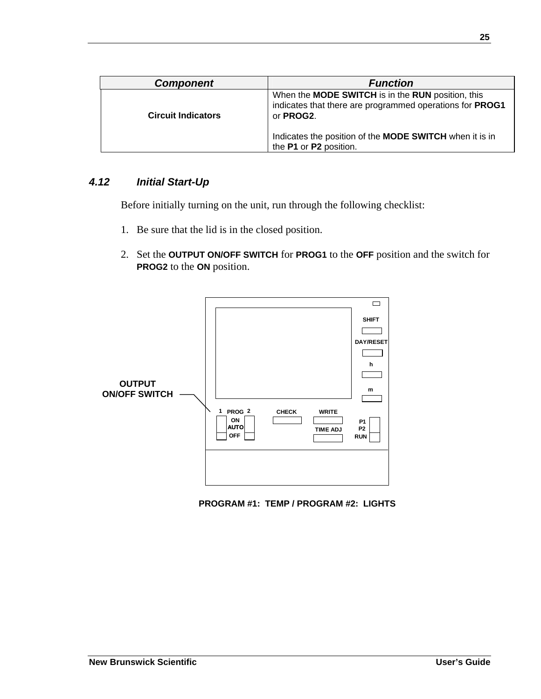| <b>Component</b>          | <b>Function</b>                                                                                                                          |
|---------------------------|------------------------------------------------------------------------------------------------------------------------------------------|
| <b>Circuit Indicators</b> | When the <b>MODE SWITCH</b> is in the <b>RUN</b> position, this<br>indicates that there are programmed operations for PROG1<br>or PROG2. |
|                           | Indicates the position of the MODE SWITCH when it is in<br>the P1 or P2 position.                                                        |

# *4.12 Initial Start-Up*

Before initially turning on the unit, run through the following checklist:

- 1. Be sure that the lid is in the closed position.
- 2. Set the **OUTPUT ON/OFF SWITCH** for **PROG1** to the **OFF** position and the switch for **PROG2** to the **ON** position.



**PROGRAM #1: TEMP / PROGRAM #2: LIGHTS**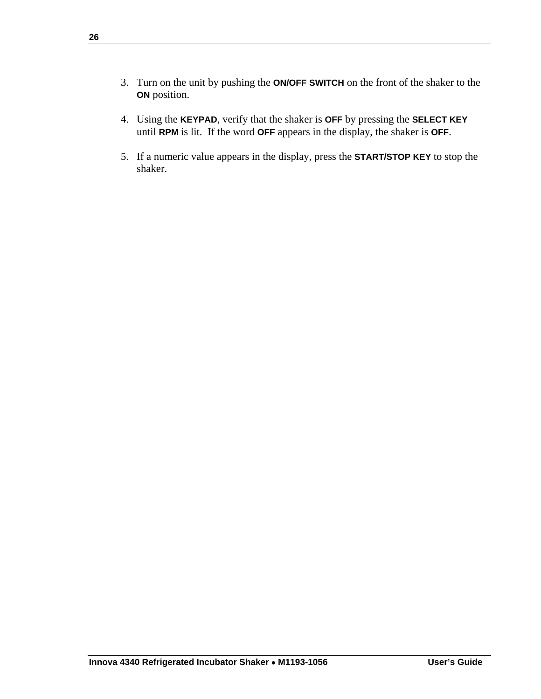- 3. Turn on the unit by pushing the **ON/OFF SWITCH** on the front of the shaker to the **ON** position.
- 4. Using the **KEYPAD**, verify that the shaker is **OFF** by pressing the **SELECT KEY** until **RPM** is lit. If the word **OFF** appears in the display, the shaker is **OFF**.
- 5. If a numeric value appears in the display, press the **START/STOP KEY** to stop the shaker.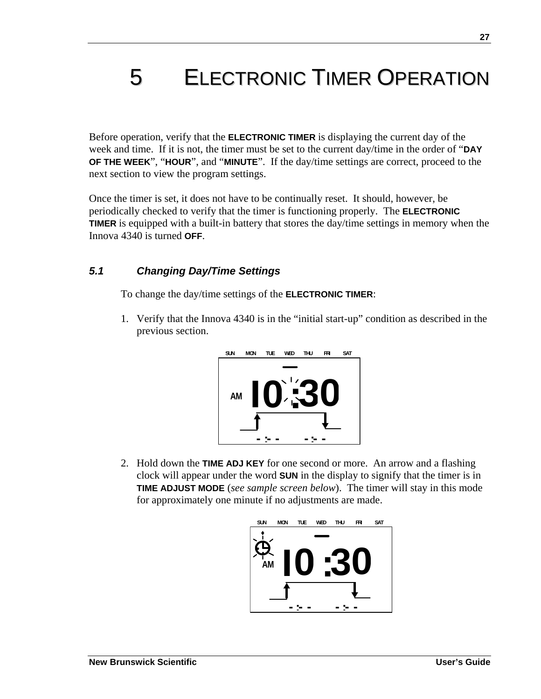# 5 ELECTRONIC TIMER OPERATION

Before operation, verify that the **ELECTRONIC TIMER** is displaying the current day of the week and time. If it is not, the timer must be set to the current day/time in the order of "DAY" **OF THE WEEK**", "**HOUR**", and "**MINUTE**". If the day/time settings are correct, proceed to the next section to view the program settings.

Once the timer is set, it does not have to be continually reset. It should, however, be periodically checked to verify that the timer is functioning properly. The **ELECTRONIC TIMER** is equipped with a built-in battery that stores the day/time settings in memory when the Innova 4340 is turned **OFF**.

# *5.1 Changing Day/Time Settings*

To change the day/time settings of the **ELECTRONIC TIMER**:

1. Verify that the Innova 4340 is in the "initial start-up" condition as described in the previous section.



2. Hold down the **TIME ADJ KEY** for one second or more. An arrow and a flashing clock will appear under the word **SUN** in the display to signify that the timer is in **TIME ADJUST MODE** (*see sample screen below*). The timer will stay in this mode for approximately one minute if no adjustments are made.

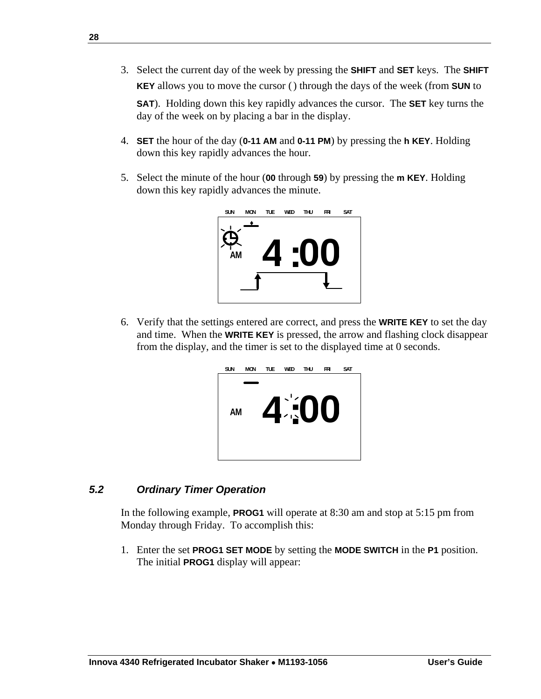3. Select the current day of the week by pressing the **SHIFT** and **SET** keys. The **SHIFT KEY** allows you to move the cursor () through the days of the week (from **SUN** to

**SAT**). Holding down this key rapidly advances the cursor. The **SET** key turns the day of the week on by placing a bar in the display.

- 4. **SET** the hour of the day (**0-11 AM** and **0-11 PM**) by pressing the **h KEY**. Holding down this key rapidly advances the hour.
- 5. Select the minute of the hour (**00** through **59**) by pressing the **m KEY**. Holding down this key rapidly advances the minute.



6. Verify that the settings entered are correct, and press the **WRITE KEY** to set the day and time. When the **WRITE KEY** is pressed, the arrow and flashing clock disappear from the display, and the timer is set to the displayed time at 0 seconds.



## *5.2 Ordinary Timer Operation*

In the following example, **PROG1** will operate at 8:30 am and stop at 5:15 pm from Monday through Friday. To accomplish this:

1. Enter the set **PROG1 SET MODE** by setting the **MODE SWITCH** in the **P1** position. The initial **PROG1** display will appear: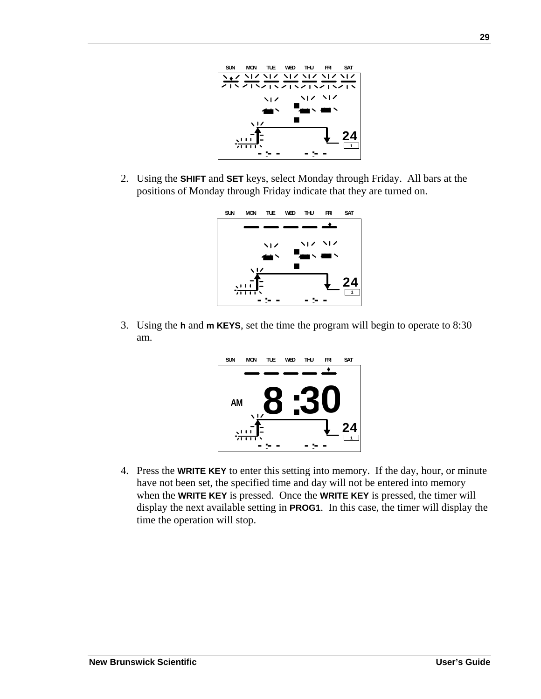

2. Using the **SHIFT** and **SET** keys, select Monday through Friday. All bars at the positions of Monday through Friday indicate that they are turned on.



3. Using the **h** and **m KEYS**, set the time the program will begin to operate to 8:30 am.



4. Press the **WRITE KEY** to enter this setting into memory. If the day, hour, or minute have not been set, the specified time and day will not be entered into memory when the **WRITE KEY** is pressed. Once the **WRITE KEY** is pressed, the timer will display the next available setting in **PROG1**. In this case, the timer will display the time the operation will stop.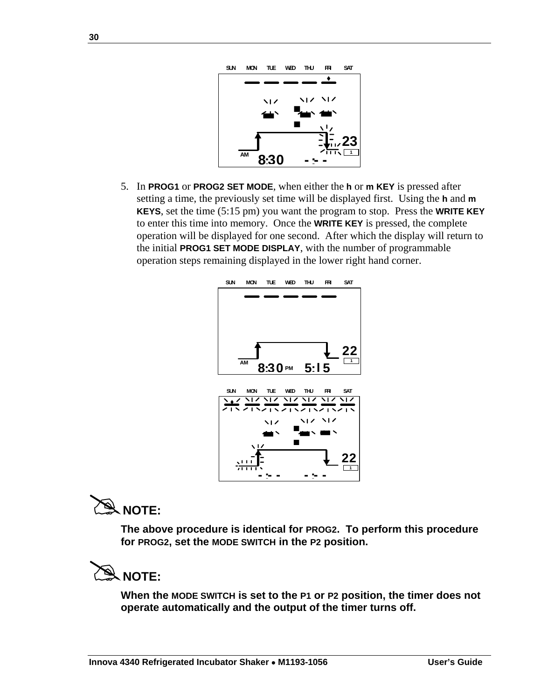

5. In **PROG1** or **PROG2 SET MODE**, when either the **h** or **m KEY** is pressed after setting a time, the previously set time will be displayed first. Using the **h** and **m KEYS**, set the time (5:15 pm) you want the program to stop. Press the **WRITE KEY** to enter this time into memory. Once the **WRITE KEY** is pressed, the complete operation will be displayed for one second. After which the display will return to the initial **PROG1 SET MODE DISPLAY**, with the number of programmable operation steps remaining displayed in the lower right hand corner.



# #**NOTE:**

**The above procedure is identical for PROG2. To perform this procedure for PROG2, set the MODE SWITCH in the P2 position.** 

# #**NOTE:**

**When the MODE SWITCH is set to the P1 or P2 position, the timer does not operate automatically and the output of the timer turns off.**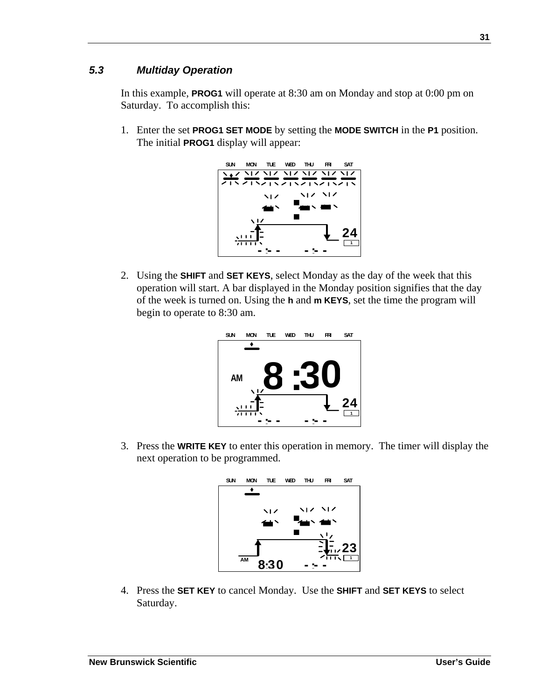# *5.3 Multiday Operation*

In this example, **PROG1** will operate at 8:30 am on Monday and stop at 0:00 pm on Saturday. To accomplish this:

1. Enter the set **PROG1 SET MODE** by setting the **MODE SWITCH** in the **P1** position. The initial **PROG1** display will appear:



2. Using the **SHIFT** and **SET KEYS**, select Monday as the day of the week that this operation will start. A bar displayed in the Monday position signifies that the day of the week is turned on. Using the **h** and **m KEYS**, set the time the program will begin to operate to 8:30 am.



3. Press the **WRITE KEY** to enter this operation in memory. The timer will display the next operation to be programmed.



4. Press the **SET KEY** to cancel Monday. Use the **SHIFT** and **SET KEYS** to select Saturday.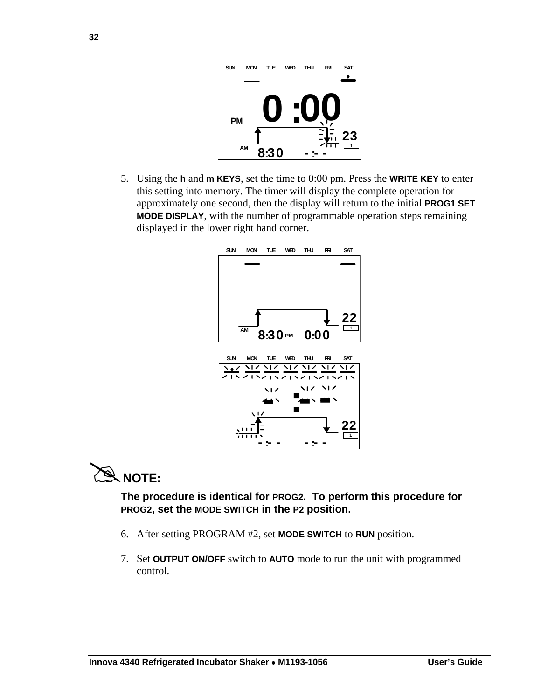

5. Using the **h** and **m KEYS**, set the time to 0:00 pm. Press the **WRITE KEY** to enter this setting into memory. The timer will display the complete operation for approximately one second, then the display will return to the initial **PROG1 SET MODE DISPLAY**, with the number of programmable operation steps remaining displayed in the lower right hand corner.





**The procedure is identical for PROG2. To perform this procedure for PROG2, set the MODE SWITCH in the P2 position.** 

- 6. After setting PROGRAM #2, set **MODE SWITCH** to **RUN** position.
- 7. Set **OUTPUT ON/OFF** switch to **AUTO** mode to run the unit with programmed control.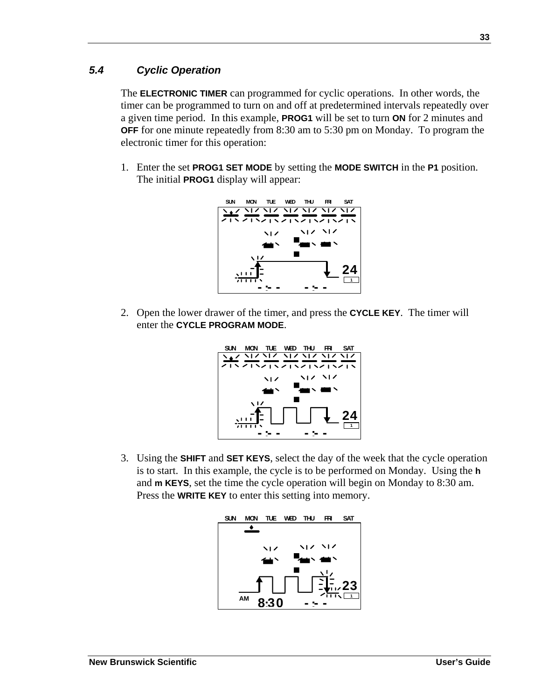# *5.4 Cyclic Operation*

The **ELECTRONIC TIMER** can programmed for cyclic operations. In other words, the timer can be programmed to turn on and off at predetermined intervals repeatedly over a given time period. In this example, **PROG1** will be set to turn **ON** for 2 minutes and **OFF** for one minute repeatedly from 8:30 am to 5:30 pm on Monday. To program the electronic timer for this operation:

1. Enter the set **PROG1 SET MODE** by setting the **MODE SWITCH** in the **P1** position. The initial **PROG1** display will appear:



2. Open the lower drawer of the timer, and press the **CYCLE KEY**. The timer will enter the **CYCLE PROGRAM MODE**.



3. Using the **SHIFT** and **SET KEYS**, select the day of the week that the cycle operation is to start. In this example, the cycle is to be performed on Monday. Using the **h** and **m KEYS**, set the time the cycle operation will begin on Monday to 8:30 am. Press the **WRITE KEY** to enter this setting into memory.

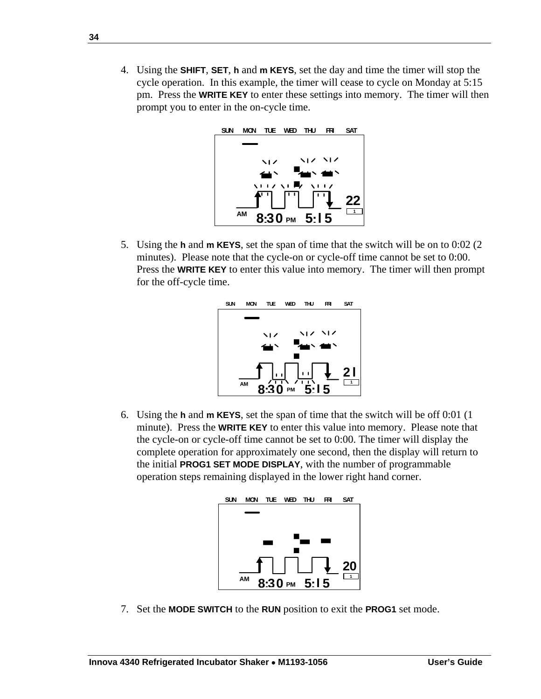4. Using the **SHIFT**, **SET**, **h** and **m KEYS**, set the day and time the timer will stop the cycle operation. In this example, the timer will cease to cycle on Monday at 5:15 pm. Press the **WRITE KEY** to enter these settings into memory. The timer will then prompt you to enter in the on-cycle time.



5. Using the **h** and **m KEYS**, set the span of time that the switch will be on to 0:02 (2 minutes). Please note that the cycle-on or cycle-off time cannot be set to 0:00. Press the **WRITE KEY** to enter this value into memory. The timer will then prompt for the off-cycle time.



6. Using the **h** and **m KEYS**, set the span of time that the switch will be off 0:01 (1 minute). Press the **WRITE KEY** to enter this value into memory. Please note that the cycle-on or cycle-off time cannot be set to 0:00. The timer will display the complete operation for approximately one second, then the display will return to the initial **PROG1 SET MODE DISPLAY**, with the number of programmable operation steps remaining displayed in the lower right hand corner.



7. Set the **MODE SWITCH** to the **RUN** position to exit the **PROG1** set mode.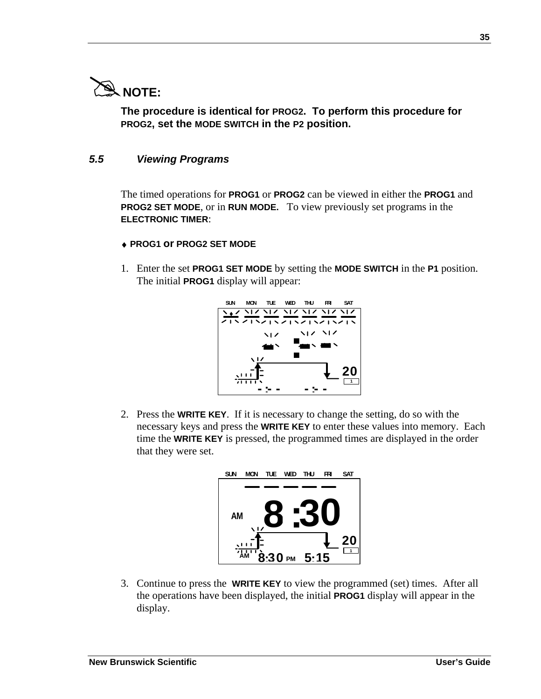# $\triangle$  NOTE:

**The procedure is identical for PROG2. To perform this procedure for PROG2, set the MODE SWITCH in the P2 position.** 

# *5.5 Viewing Programs*

The timed operations for **PROG1** or **PROG2** can be viewed in either the **PROG1** and **PROG2 SET MODE**, or in **RUN MODE.** To view previously set programs in the **ELECTRONIC TIMER**:

### ♦ **PROG1 or PROG2 SET MODE**

1. Enter the set **PROG1 SET MODE** by setting the **MODE SWITCH** in the **P1** position. The initial **PROG1** display will appear:



2. Press the **WRITE KEY**. If it is necessary to change the setting, do so with the necessary keys and press the **WRITE KEY** to enter these values into memory. Each time the **WRITE KEY** is pressed, the programmed times are displayed in the order that they were set.



3. Continue to press the **WRITE KEY** to view the programmed (set) times. After all the operations have been displayed, the initial **PROG1** display will appear in the display.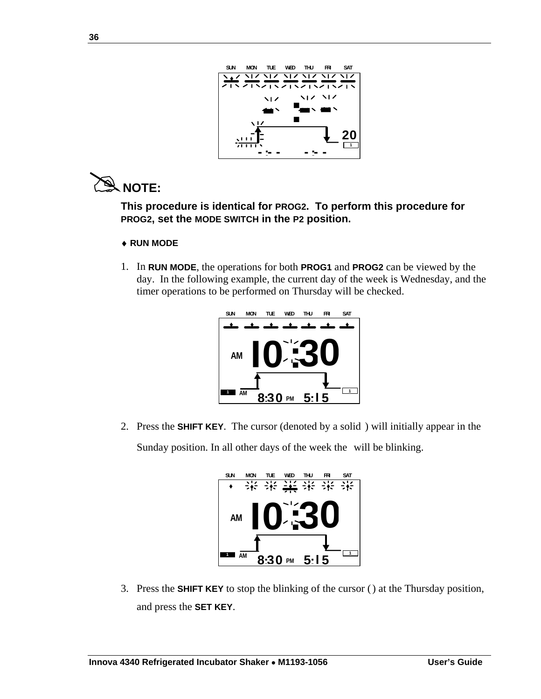

# #**NOTE:**

# **This procedure is identical for PROG2. To perform this procedure for PROG2, set the MODE SWITCH in the P2 position.**

## ♦ **RUN MODE**

1. In **RUN MODE**, the operations for both **PROG1** and **PROG2** can be viewed by the day. In the following example, the current day of the week is Wednesday, and the timer operations to be performed on Thursday will be checked.



2. Press the **SHIFT KEY**. The cursor (denoted by a solid ) will initially appear in the Sunday position. In all other days of the week the will be blinking.



3. Press the **SHIFT KEY** to stop the blinking of the cursor () at the Thursday position, and press the **SET KEY**.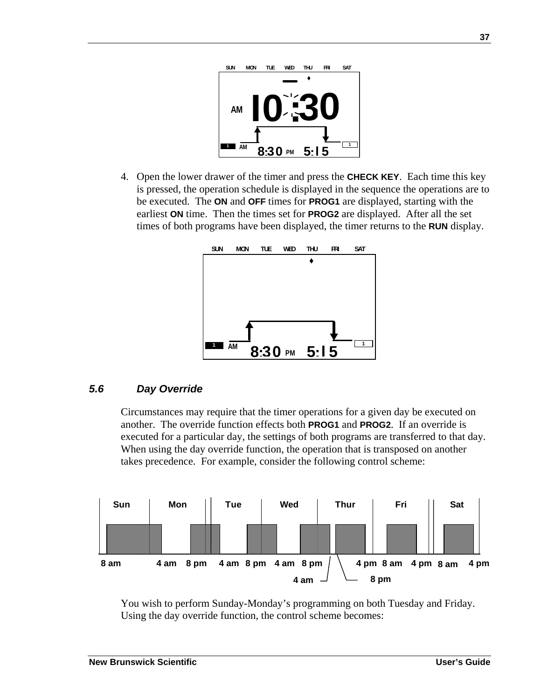

4. Open the lower drawer of the timer and press the **CHECK KEY**. Each time this key is pressed, the operation schedule is displayed in the sequence the operations are to be executed. The **ON** and **OFF** times for **PROG1** are displayed, starting with the earliest **ON** time. Then the times set for **PROG2** are displayed. After all the set times of both programs have been displayed, the timer returns to the **RUN** display.



## *5.6 Day Override*

Circumstances may require that the timer operations for a given day be executed on another. The override function effects both **PROG1** and **PROG2**. If an override is executed for a particular day, the settings of both programs are transferred to that day. When using the day override function, the operation that is transposed on another takes precedence. For example, consider the following control scheme:



You wish to perform Sunday-Monday's programming on both Tuesday and Friday. Using the day override function, the control scheme becomes: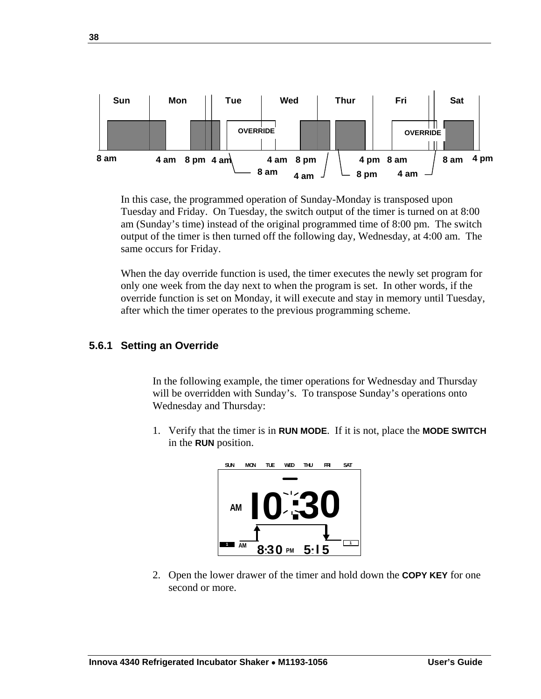

In this case, the programmed operation of Sunday-Monday is transposed upon Tuesday and Friday. On Tuesday, the switch output of the timer is turned on at 8:00 am (Sunday's time) instead of the original programmed time of 8:00 pm. The switch output of the timer is then turned off the following day, Wednesday, at 4:00 am. The same occurs for Friday.

When the day override function is used, the timer executes the newly set program for only one week from the day next to when the program is set. In other words, if the override function is set on Monday, it will execute and stay in memory until Tuesday, after which the timer operates to the previous programming scheme.

# **5.6.1 Setting an Override**

In the following example, the timer operations for Wednesday and Thursday will be overridden with Sunday's. To transpose Sunday's operations onto Wednesday and Thursday:

1. Verify that the timer is in **RUN MODE**. If it is not, place the **MODE SWITCH** in the **RUN** position.



2. Open the lower drawer of the timer and hold down the **COPY KEY** for one second or more.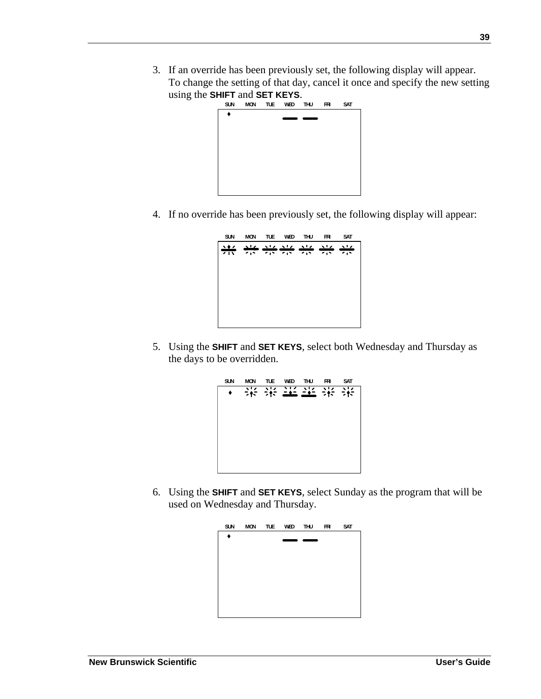3. If an override has been previously set, the following display will appear. To change the setting of that day, cancel it once and specify the new setting using the **SHIFT** and **SET KEYS**.



4. If no override has been previously set, the following display will appear:



5. Using the **SHIFT** and **SET KEYS**, select both Wednesday and Thursday as the days to be overridden.



6. Using the **SHIFT** and **SET KEYS**, select Sunday as the program that will be used on Wednesday and Thursday.

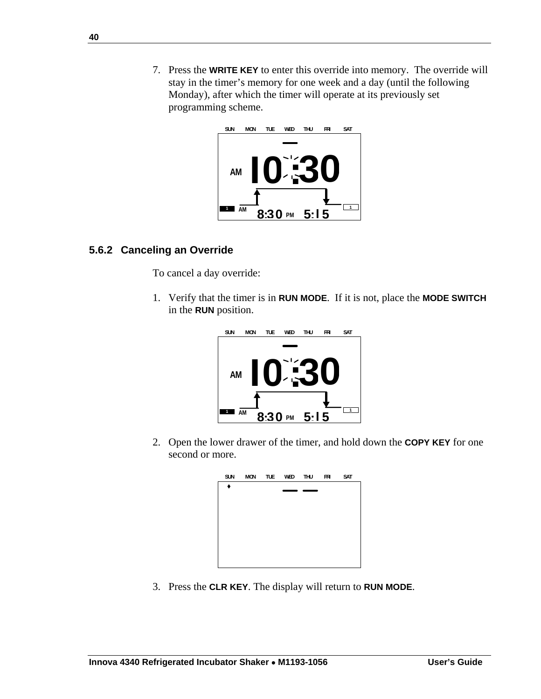7. Press the **WRITE KEY** to enter this override into memory. The override will stay in the timer's memory for one week and a day (until the following Monday), after which the timer will operate at its previously set programming scheme.



# **5.6.2 Canceling an Override**

To cancel a day override:

1. Verify that the timer is in **RUN MODE**. If it is not, place the **MODE SWITCH** in the **RUN** position.



2. Open the lower drawer of the timer, and hold down the **COPY KEY** for one second or more.



3. Press the **CLR KEY**. The display will return to **RUN MODE**.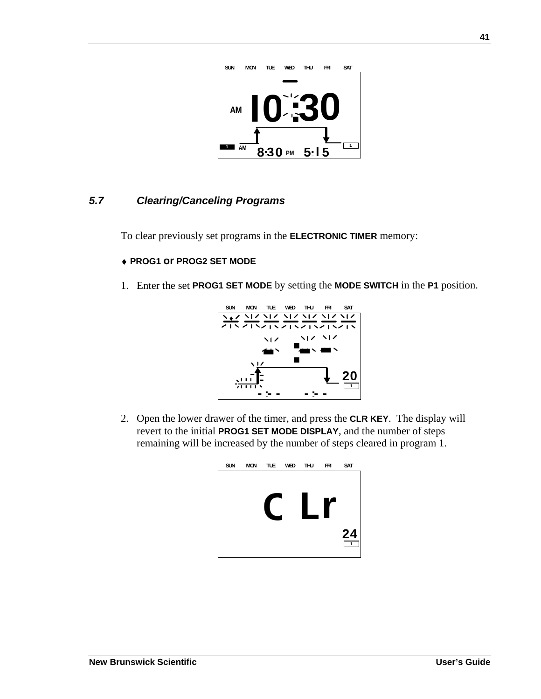

# *5.7 Clearing/Canceling Programs*

To clear previously set programs in the **ELECTRONIC TIMER** memory:

### ♦ **PROG1 or PROG2 SET MODE**

1. Enter the set **PROG1 SET MODE** by setting the **MODE SWITCH** in the **P1** position.



2. Open the lower drawer of the timer, and press the **CLR KEY**. The display will revert to the initial **PROG1 SET MODE DISPLAY**, and the number of steps remaining will be increased by the number of steps cleared in program 1.

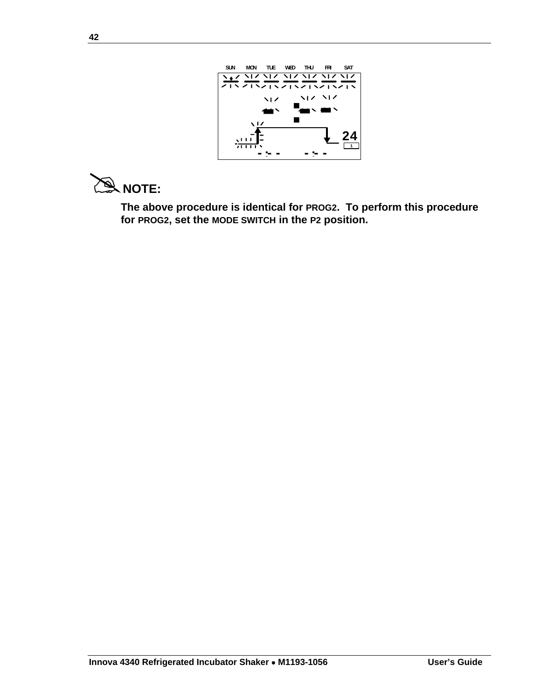

# #**NOTE:**

**The above procedure is identical for PROG2. To perform this procedure for PROG2, set the MODE SWITCH in the P2 position.**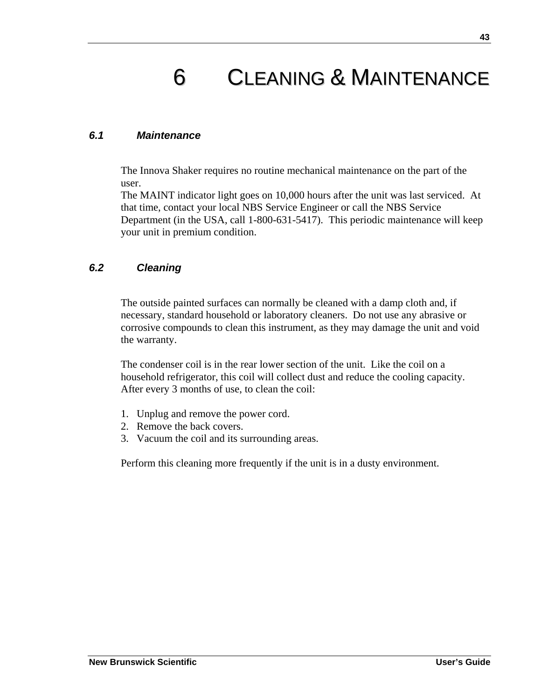# 6 CLEANING & MAINTENANCE

# *6.1 Maintenance*

The Innova Shaker requires no routine mechanical maintenance on the part of the user.

The MAINT indicator light goes on 10,000 hours after the unit was last serviced. At that time, contact your local NBS Service Engineer or call the NBS Service Department (in the USA, call 1-800-631-5417). This periodic maintenance will keep your unit in premium condition.

# *6.2 Cleaning*

The outside painted surfaces can normally be cleaned with a damp cloth and, if necessary, standard household or laboratory cleaners. Do not use any abrasive or corrosive compounds to clean this instrument, as they may damage the unit and void the warranty.

The condenser coil is in the rear lower section of the unit. Like the coil on a household refrigerator, this coil will collect dust and reduce the cooling capacity. After every 3 months of use, to clean the coil:

- 1. Unplug and remove the power cord.
- 2. Remove the back covers.
- 3. Vacuum the coil and its surrounding areas.

Perform this cleaning more frequently if the unit is in a dusty environment.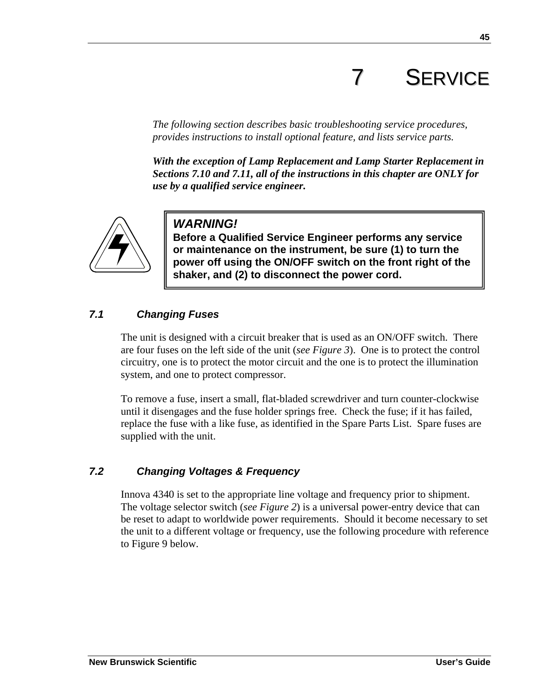# 7 SERVICE

*The following section describes basic troubleshooting service procedures, provides instructions to install optional feature, and lists service parts.* 

*With the exception of Lamp Replacement and Lamp Starter Replacement in Sections 7.10 and 7.11, all of the instructions in this chapter are ONLY for use by a qualified service engineer.* 



# *WARNING!*

**Before a Qualified Service Engineer performs any service or maintenance on the instrument, be sure (1) to turn the power off using the ON/OFF switch on the front right of the shaker, and (2) to disconnect the power cord.**

# *7.1 Changing Fuses*

The unit is designed with a circuit breaker that is used as an ON/OFF switch. There are four fuses on the left side of the unit (*see Figure 3*). One is to protect the control circuitry, one is to protect the motor circuit and the one is to protect the illumination system, and one to protect compressor.

To remove a fuse, insert a small, flat-bladed screwdriver and turn counter-clockwise until it disengages and the fuse holder springs free. Check the fuse; if it has failed, replace the fuse with a like fuse, as identified in the Spare Parts List. Spare fuses are supplied with the unit.

# *7.2 Changing Voltages & Frequency*

Innova 4340 is set to the appropriate line voltage and frequency prior to shipment. The voltage selector switch (*see Figure 2*) is a universal power-entry device that can be reset to adapt to worldwide power requirements. Should it become necessary to set the unit to a different voltage or frequency, use the following procedure with reference to Figure 9 below.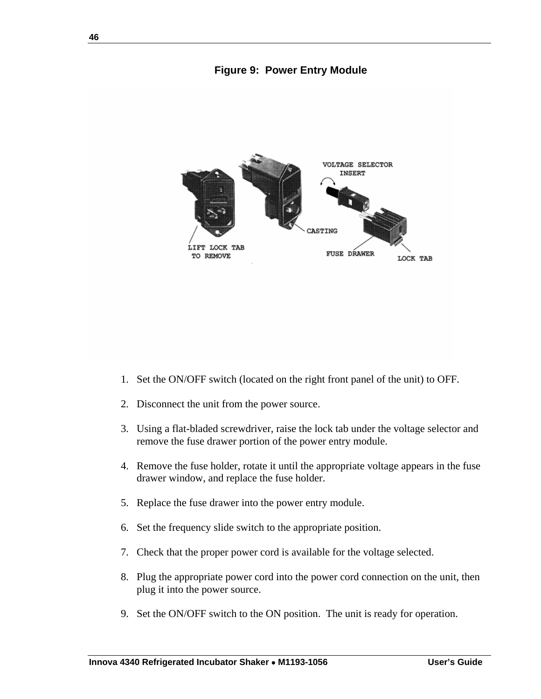**Figure 9: Power Entry Module** 



- 1. Set the ON/OFF switch (located on the right front panel of the unit) to OFF.
- 2. Disconnect the unit from the power source.
- 3. Using a flat-bladed screwdriver, raise the lock tab under the voltage selector and remove the fuse drawer portion of the power entry module.
- 4. Remove the fuse holder, rotate it until the appropriate voltage appears in the fuse drawer window, and replace the fuse holder.
- 5. Replace the fuse drawer into the power entry module.
- 6. Set the frequency slide switch to the appropriate position.
- 7. Check that the proper power cord is available for the voltage selected.
- 8. Plug the appropriate power cord into the power cord connection on the unit, then plug it into the power source.
- 9. Set the ON/OFF switch to the ON position. The unit is ready for operation.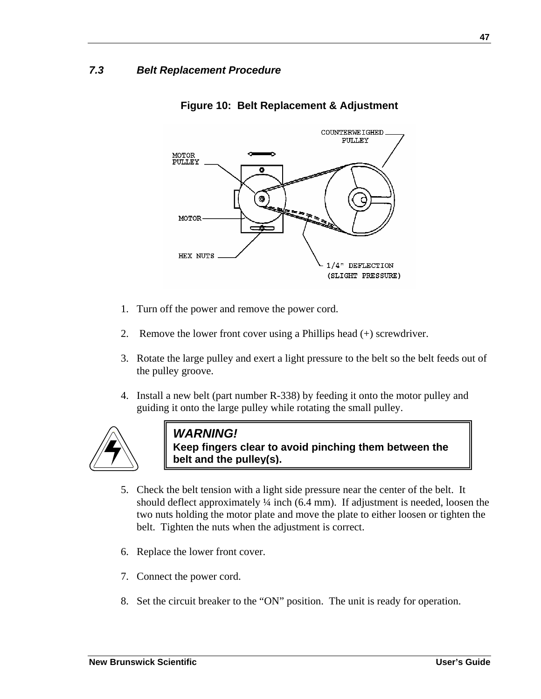# *7.3 Belt Replacement Procedure*



# **Figure 10: Belt Replacement & Adjustment**

- 1. Turn off the power and remove the power cord.
- 2. Remove the lower front cover using a Phillips head (+) screwdriver.
- 3. Rotate the large pulley and exert a light pressure to the belt so the belt feeds out of the pulley groove.
- 4. Install a new belt (part number R-338) by feeding it onto the motor pulley and guiding it onto the large pulley while rotating the small pulley.



*WARNING!*  **Keep fingers clear to avoid pinching them between the belt and the pulley(s).**

- 5. Check the belt tension with a light side pressure near the center of the belt. It should deflect approximately ¼ inch (6.4 mm). If adjustment is needed, loosen the two nuts holding the motor plate and move the plate to either loosen or tighten the belt. Tighten the nuts when the adjustment is correct.
- 6. Replace the lower front cover.
- 7. Connect the power cord.
- 8. Set the circuit breaker to the "ON" position. The unit is ready for operation.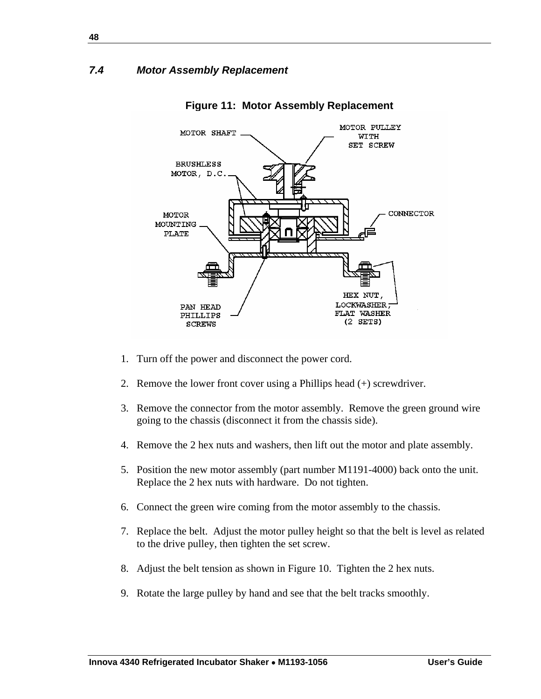# *7.4 Motor Assembly Replacement*



#### **Figure 11: Motor Assembly Replacement**

- 1. Turn off the power and disconnect the power cord.
- 2. Remove the lower front cover using a Phillips head (+) screwdriver.
- 3. Remove the connector from the motor assembly. Remove the green ground wire going to the chassis (disconnect it from the chassis side).
- 4. Remove the 2 hex nuts and washers, then lift out the motor and plate assembly.
- 5. Position the new motor assembly (part number M1191-4000) back onto the unit. Replace the 2 hex nuts with hardware. Do not tighten.
- 6. Connect the green wire coming from the motor assembly to the chassis.
- 7. Replace the belt. Adjust the motor pulley height so that the belt is level as related to the drive pulley, then tighten the set screw.
- 8. Adjust the belt tension as shown in Figure 10. Tighten the 2 hex nuts.
- 9. Rotate the large pulley by hand and see that the belt tracks smoothly.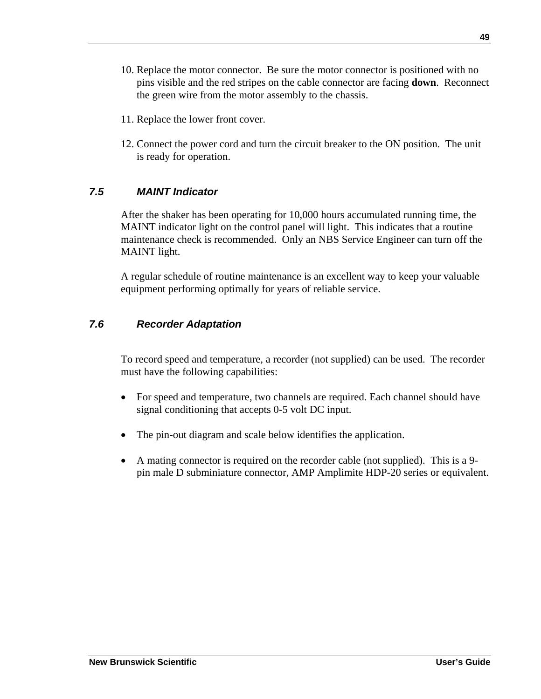- 10. Replace the motor connector. Be sure the motor connector is positioned with no pins visible and the red stripes on the cable connector are facing **down**. Reconnect the green wire from the motor assembly to the chassis.
- 11. Replace the lower front cover.
- 12. Connect the power cord and turn the circuit breaker to the ON position. The unit is ready for operation.

# *7.5 MAINT Indicator*

After the shaker has been operating for 10,000 hours accumulated running time, the MAINT indicator light on the control panel will light. This indicates that a routine maintenance check is recommended. Only an NBS Service Engineer can turn off the MAINT light.

A regular schedule of routine maintenance is an excellent way to keep your valuable equipment performing optimally for years of reliable service.

## *7.6 Recorder Adaptation*

To record speed and temperature, a recorder (not supplied) can be used. The recorder must have the following capabilities:

- For speed and temperature, two channels are required. Each channel should have signal conditioning that accepts 0-5 volt DC input.
- The pin-out diagram and scale below identifies the application.
- A mating connector is required on the recorder cable (not supplied). This is a 9pin male D subminiature connector, AMP Amplimite HDP-20 series or equivalent.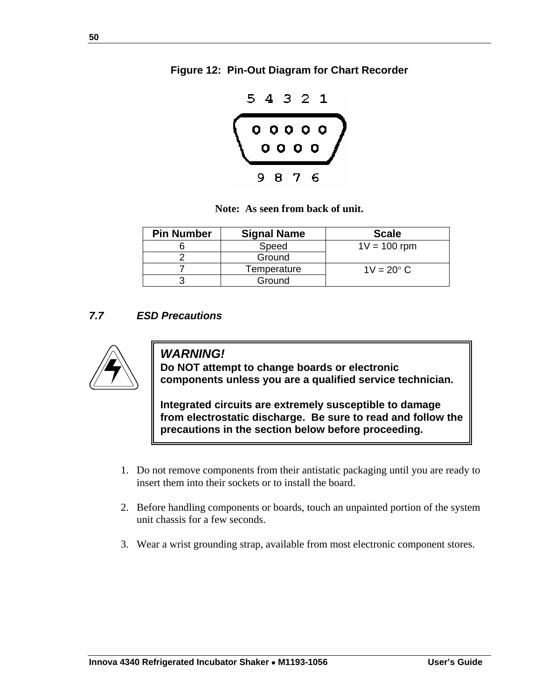

**Note: As seen from back of unit.** 

| <b>Pin Number</b> | <b>Signal Name</b> | <b>Scale</b>        |
|-------------------|--------------------|---------------------|
|                   | Speed              | $1V = 100$ rpm      |
|                   | Ground             |                     |
|                   | Temperature        | $1V = 20^{\circ}$ C |
|                   | Ground             |                     |

# *7.7 ESD Precautions*



# *WARNING!*

**Do NOT attempt to change boards or electronic components unless you are a qualified service technician.** 

**Integrated circuits are extremely susceptible to damage from electrostatic discharge. Be sure to read and follow the precautions in the section below before proceeding.**

- 1. Do not remove components from their antistatic packaging until you are ready to insert them into their sockets or to install the board.
- 2. Before handling components or boards, touch an unpainted portion of the system unit chassis for a few seconds.
- 3. Wear a wrist grounding strap, available from most electronic component stores.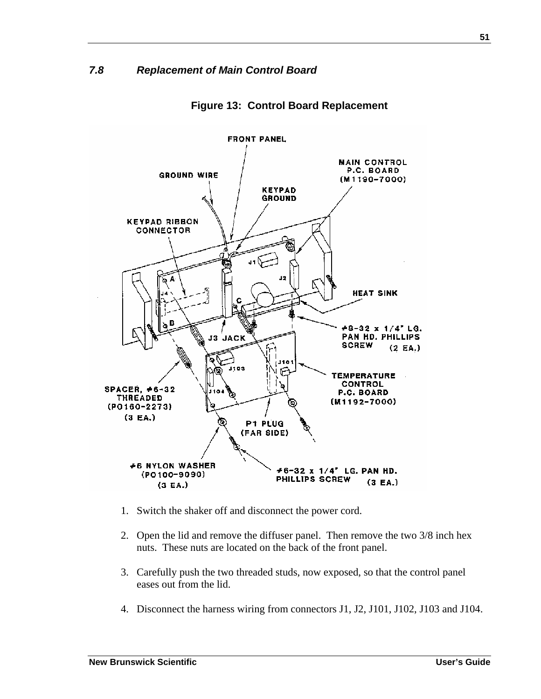

**Figure 13: Control Board Replacement** 

- 1. Switch the shaker off and disconnect the power cord.
- 2. Open the lid and remove the diffuser panel. Then remove the two 3/8 inch hex nuts. These nuts are located on the back of the front panel.
- 3. Carefully push the two threaded studs, now exposed, so that the control panel eases out from the lid.
- 4. Disconnect the harness wiring from connectors J1, J2, J101, J102, J103 and J104.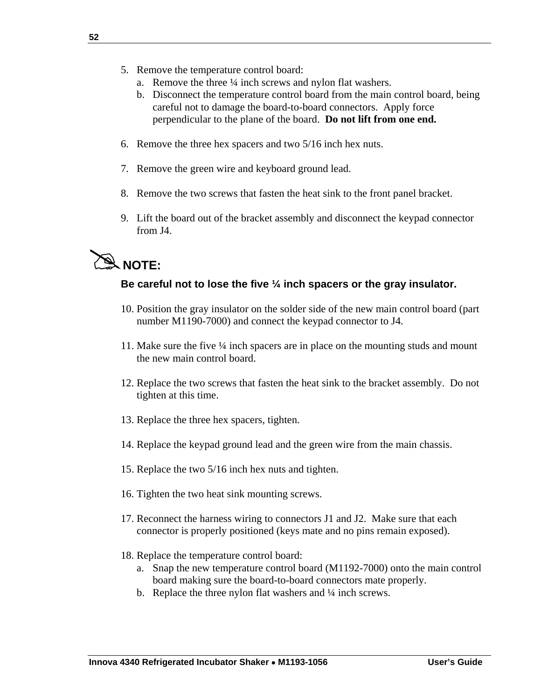- a. Remove the three ¼ inch screws and nylon flat washers.
- b. Disconnect the temperature control board from the main control board, being careful not to damage the board-to-board connectors. Apply force perpendicular to the plane of the board. **Do not lift from one end.**
- 6. Remove the three hex spacers and two 5/16 inch hex nuts.
- 7. Remove the green wire and keyboard ground lead.
- 8. Remove the two screws that fasten the heat sink to the front panel bracket.
- 9. Lift the board out of the bracket assembly and disconnect the keypad connector from J4.

# #**NOTE:**

# **Be careful not to lose the five ¼ inch spacers or the gray insulator.**

- 10. Position the gray insulator on the solder side of the new main control board (part number M1190-7000) and connect the keypad connector to J4.
- 11. Make sure the five ¼ inch spacers are in place on the mounting studs and mount the new main control board.
- 12. Replace the two screws that fasten the heat sink to the bracket assembly. Do not tighten at this time.
- 13. Replace the three hex spacers, tighten.
- 14. Replace the keypad ground lead and the green wire from the main chassis.
- 15. Replace the two 5/16 inch hex nuts and tighten.
- 16. Tighten the two heat sink mounting screws.
- 17. Reconnect the harness wiring to connectors J1 and J2. Make sure that each connector is properly positioned (keys mate and no pins remain exposed).
- 18. Replace the temperature control board:
	- a. Snap the new temperature control board (M1192-7000) onto the main control board making sure the board-to-board connectors mate properly.
	- b. Replace the three nylon flat washers and  $\frac{1}{4}$  inch screws.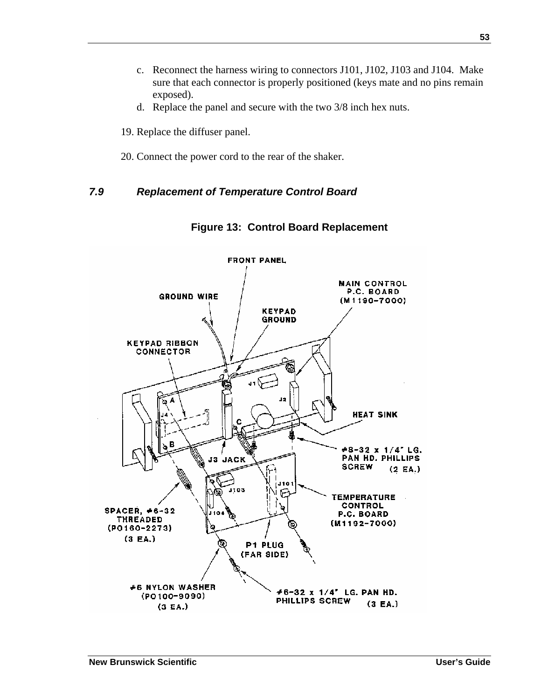- c. Reconnect the harness wiring to connectors J101, J102, J103 and J104. Make sure that each connector is properly positioned (keys mate and no pins remain exposed).
- d. Replace the panel and secure with the two 3/8 inch hex nuts.
- 19. Replace the diffuser panel.
- 20. Connect the power cord to the rear of the shaker.

# *7.9 Replacement of Temperature Control Board*



**Figure 13: Control Board Replacement**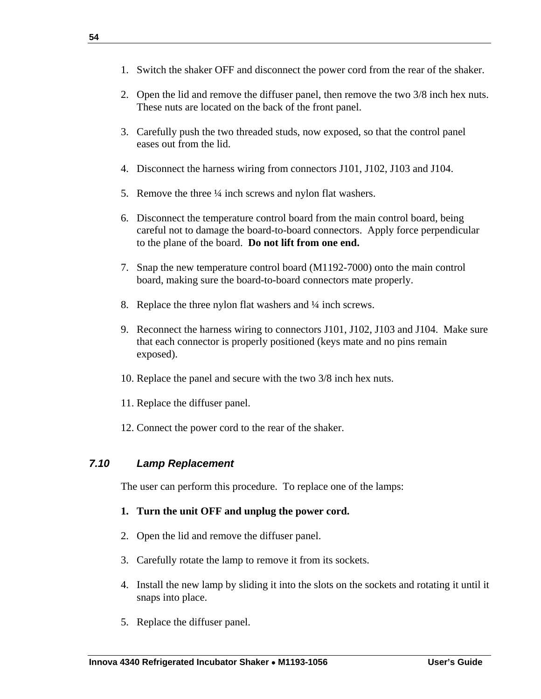- 1. Switch the shaker OFF and disconnect the power cord from the rear of the shaker.
- 2. Open the lid and remove the diffuser panel, then remove the two 3/8 inch hex nuts. These nuts are located on the back of the front panel.
- 3. Carefully push the two threaded studs, now exposed, so that the control panel eases out from the lid.
- 4. Disconnect the harness wiring from connectors J101, J102, J103 and J104.
- 5. Remove the three ¼ inch screws and nylon flat washers.
- 6. Disconnect the temperature control board from the main control board, being careful not to damage the board-to-board connectors. Apply force perpendicular to the plane of the board. **Do not lift from one end.**
- 7. Snap the new temperature control board (M1192-7000) onto the main control board, making sure the board-to-board connectors mate properly.
- 8. Replace the three nylon flat washers and ¼ inch screws.
- 9. Reconnect the harness wiring to connectors J101, J102, J103 and J104. Make sure that each connector is properly positioned (keys mate and no pins remain exposed).
- 10. Replace the panel and secure with the two 3/8 inch hex nuts.
- 11. Replace the diffuser panel.
- 12. Connect the power cord to the rear of the shaker.

## *7.10 Lamp Replacement*

The user can perform this procedure. To replace one of the lamps:

### **1. Turn the unit OFF and unplug the power cord.**

- 2. Open the lid and remove the diffuser panel.
- 3. Carefully rotate the lamp to remove it from its sockets.
- 4. Install the new lamp by sliding it into the slots on the sockets and rotating it until it snaps into place.
- 5. Replace the diffuser panel.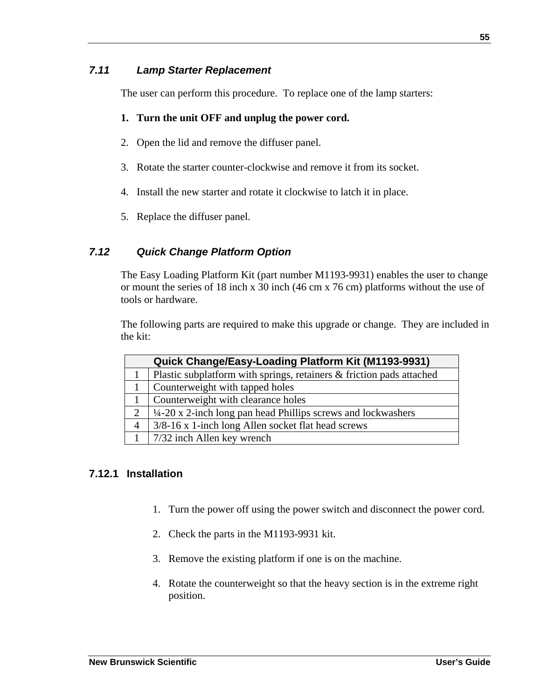The user can perform this procedure. To replace one of the lamp starters:

# **1. Turn the unit OFF and unplug the power cord.**

- 2. Open the lid and remove the diffuser panel.
- 3. Rotate the starter counter-clockwise and remove it from its socket.
- 4. Install the new starter and rotate it clockwise to latch it in place.
- 5. Replace the diffuser panel.

# *7.12 Quick Change Platform Option*

The Easy Loading Platform Kit (part number M1193-9931) enables the user to change or mount the series of 18 inch x 30 inch (46 cm x 76 cm) platforms without the use of tools or hardware.

The following parts are required to make this upgrade or change. They are included in the kit:

|                | <b>Quick Change/Easy-Loading Platform Kit (M1193-9931)</b>               |  |  |
|----------------|--------------------------------------------------------------------------|--|--|
|                | Plastic subplatform with springs, retainers & friction pads attached     |  |  |
|                | Counterweight with tapped holes                                          |  |  |
|                | Counterweight with clearance holes                                       |  |  |
| 2              | $\frac{1}{4}$ -20 x 2-inch long pan head Phillips screws and lockwashers |  |  |
| $\overline{4}$ | 3/8-16 x 1-inch long Allen socket flat head screws                       |  |  |
|                | 7/32 inch Allen key wrench                                               |  |  |

## **7.12.1 Installation**

- 1. Turn the power off using the power switch and disconnect the power cord.
- 2. Check the parts in the M1193-9931 kit.
- 3. Remove the existing platform if one is on the machine.
- 4. Rotate the counterweight so that the heavy section is in the extreme right position.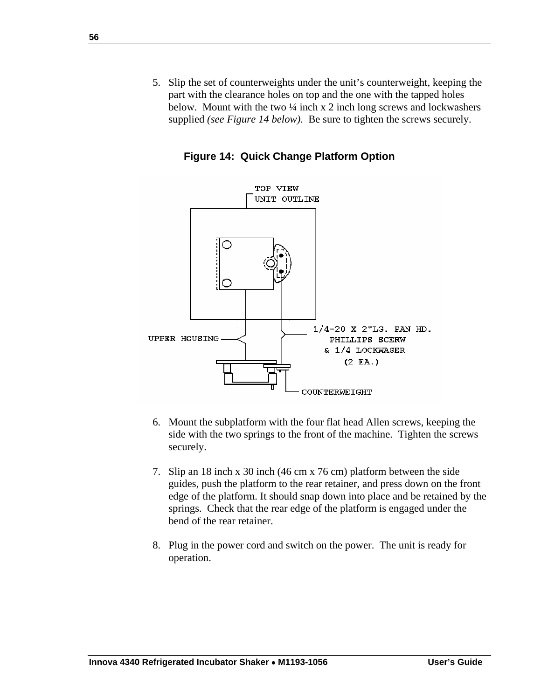5. Slip the set of counterweights under the unit's counterweight, keeping the part with the clearance holes on top and the one with the tapped holes below. Mount with the two  $\frac{1}{4}$  inch x 2 inch long screws and lockwashers supplied *(see Figure 14 below)*. Be sure to tighten the screws securely.





- 6. Mount the subplatform with the four flat head Allen screws, keeping the side with the two springs to the front of the machine. Tighten the screws securely.
- 7. Slip an 18 inch x 30 inch (46 cm x 76 cm) platform between the side guides, push the platform to the rear retainer, and press down on the front edge of the platform. It should snap down into place and be retained by the springs. Check that the rear edge of the platform is engaged under the bend of the rear retainer.
- 8. Plug in the power cord and switch on the power. The unit is ready for operation.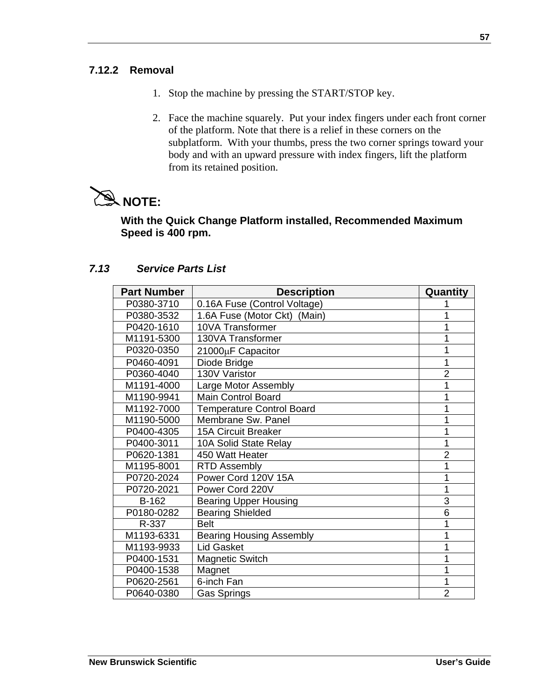# **7.12.2 Removal**

- 1. Stop the machine by pressing the START/STOP key.
- 2. Face the machine squarely. Put your index fingers under each front corner of the platform. Note that there is a relief in these corners on the subplatform. With your thumbs, press the two corner springs toward your body and with an upward pressure with index fingers, lift the platform from its retained position.

# #**NOTE:**

**With the Quick Change Platform installed, Recommended Maximum Speed is 400 rpm.** 

# *7.13 Service Parts List*

| <b>Part Number</b> | <b>Description</b>               | Quantity       |
|--------------------|----------------------------------|----------------|
| P0380-3710         | 0.16A Fuse (Control Voltage)     |                |
| P0380-3532         | 1.6A Fuse (Motor Ckt) (Main)     |                |
| P0420-1610         | 10VA Transformer                 |                |
| M1191-5300         | 130VA Transformer                |                |
| P0320-0350         | 21000µF Capacitor                |                |
| P0460-4091         | Diode Bridge                     |                |
| P0360-4040         | 130V Varistor                    | $\overline{2}$ |
| M1191-4000         | Large Motor Assembly             |                |
| M1190-9941         | <b>Main Control Board</b>        |                |
| M1192-7000         | <b>Temperature Control Board</b> |                |
| M1190-5000         | Membrane Sw. Panel               |                |
| P0400-4305         | 15A Circuit Breaker              |                |
| P0400-3011         | 10A Solid State Relay            |                |
| P0620-1381         | 450 Watt Heater                  | $\overline{2}$ |
| M1195-8001         | <b>RTD Assembly</b>              |                |
| P0720-2024         | Power Cord 120V 15A              |                |
| P0720-2021         | Power Cord 220V                  |                |
| B-162              | <b>Bearing Upper Housing</b>     | 3              |
| P0180-0282         | <b>Bearing Shielded</b>          | 6              |
| R-337              | <b>Belt</b>                      |                |
| M1193-6331         | <b>Bearing Housing Assembly</b>  |                |
| M1193-9933         | <b>Lid Gasket</b>                |                |
| P0400-1531         | <b>Magnetic Switch</b>           |                |
| P0400-1538         | Magnet                           |                |
| P0620-2561         | 6-inch Fan                       |                |
| P0640-0380         | Gas Springs                      | $\overline{2}$ |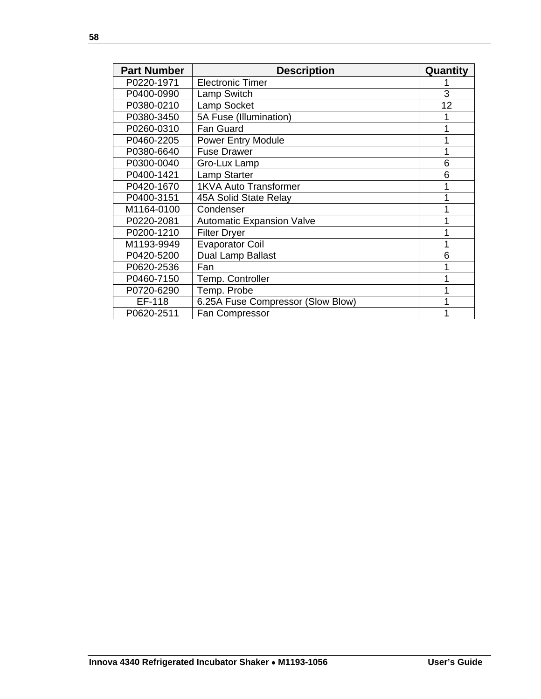| <b>Part Number</b> | <b>Description</b>                | Quantity |
|--------------------|-----------------------------------|----------|
| P0220-1971         | <b>Electronic Timer</b>           |          |
| P0400-0990         | Lamp Switch                       | 3        |
| P0380-0210         | <b>Lamp Socket</b>                | 12       |
| P0380-3450         | 5A Fuse (Illumination)            |          |
| P0260-0310         | Fan Guard                         | 1        |
| P0460-2205         | <b>Power Entry Module</b>         |          |
| P0380-6640         | <b>Fuse Drawer</b>                |          |
| P0300-0040         | Gro-Lux Lamp                      | 6        |
| P0400-1421         | Lamp Starter                      | 6        |
| P0420-1670         | <b>1KVA Auto Transformer</b>      | 1        |
| P0400-3151         | 45A Solid State Relay             |          |
| M1164-0100         | Condenser                         |          |
| P0220-2081         | <b>Automatic Expansion Valve</b>  |          |
| P0200-1210         | <b>Filter Dryer</b>               |          |
| M1193-9949         | <b>Evaporator Coil</b>            |          |
| P0420-5200         | Dual Lamp Ballast                 | 6        |
| P0620-2536         | Fan                               |          |
| P0460-7150         | Temp. Controller                  |          |
| P0720-6290         | Temp. Probe                       |          |
| EF-118             | 6.25A Fuse Compressor (Slow Blow) |          |
| P0620-2511         | <b>Fan Compressor</b>             |          |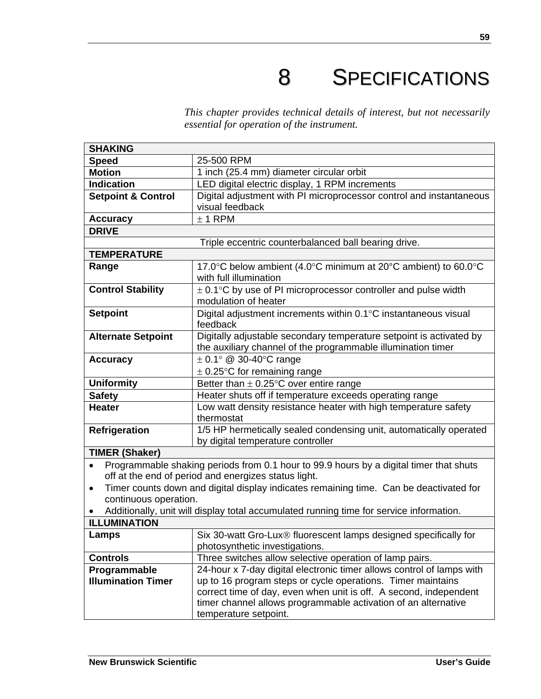# 8 SPECIFICATIONS

*This chapter provides technical details of interest, but not necessarily essential for operation of the instrument.* 

| <b>SHAKING</b>                            |                                                                                                                                     |  |
|-------------------------------------------|-------------------------------------------------------------------------------------------------------------------------------------|--|
| <b>Speed</b>                              | 25-500 RPM                                                                                                                          |  |
| <b>Motion</b>                             | 1 inch (25.4 mm) diameter circular orbit                                                                                            |  |
| <b>Indication</b>                         | LED digital electric display, 1 RPM increments                                                                                      |  |
| <b>Setpoint &amp; Control</b>             | Digital adjustment with PI microprocessor control and instantaneous                                                                 |  |
|                                           | visual feedback                                                                                                                     |  |
| <b>Accuracy</b>                           | $± 1$ RPM                                                                                                                           |  |
| <b>DRIVE</b>                              |                                                                                                                                     |  |
|                                           | Triple eccentric counterbalanced ball bearing drive.                                                                                |  |
| <b>TEMPERATURE</b>                        |                                                                                                                                     |  |
| Range                                     | 17.0 °C below ambient (4.0 °C minimum at 20 °C ambient) to 60.0 °C<br>with full illumination                                        |  |
| <b>Control Stability</b>                  | $\pm$ 0.1 $\degree$ C by use of PI microprocessor controller and pulse width<br>modulation of heater                                |  |
| <b>Setpoint</b>                           | Digital adjustment increments within 0.1°C instantaneous visual<br>feedback                                                         |  |
| <b>Alternate Setpoint</b>                 | Digitally adjustable secondary temperature setpoint is activated by<br>the auxiliary channel of the programmable illumination timer |  |
| <b>Accuracy</b>                           | $\pm$ 0.1° @ 30-40°C range<br>$\pm$ 0.25°C for remaining range                                                                      |  |
| <b>Uniformity</b>                         | Better than $\pm$ 0.25°C over entire range                                                                                          |  |
| <b>Safety</b>                             | Heater shuts off if temperature exceeds operating range                                                                             |  |
| <b>Heater</b>                             | Low watt density resistance heater with high temperature safety                                                                     |  |
|                                           | thermostat                                                                                                                          |  |
| Refrigeration                             | 1/5 HP hermetically sealed condensing unit, automatically operated                                                                  |  |
|                                           | by digital temperature controller                                                                                                   |  |
| <b>TIMER (Shaker)</b>                     |                                                                                                                                     |  |
|                                           | Programmable shaking periods from 0.1 hour to 99.9 hours by a digital timer that shuts                                              |  |
|                                           | off at the end of period and energizes status light.                                                                                |  |
| ٠                                         | Timer counts down and digital display indicates remaining time. Can be deactivated for                                              |  |
| continuous operation.                     |                                                                                                                                     |  |
|                                           | Additionally, unit will display total accumulated running time for service information.                                             |  |
| <b>ILLUMINATION</b>                       |                                                                                                                                     |  |
| Lamps                                     | Six 30-watt Gro-Lux® fluorescent lamps designed specifically for                                                                    |  |
|                                           | photosynthetic investigations.                                                                                                      |  |
| <b>Controls</b>                           | Three switches allow selective operation of lamp pairs.<br>24-hour x 7-day digital electronic timer allows control of lamps with    |  |
| Programmable<br><b>Illumination Timer</b> | up to 16 program steps or cycle operations. Timer maintains                                                                         |  |
|                                           | correct time of day, even when unit is off. A second, independent                                                                   |  |
|                                           | timer channel allows programmable activation of an alternative                                                                      |  |
|                                           | temperature setpoint.                                                                                                               |  |
|                                           |                                                                                                                                     |  |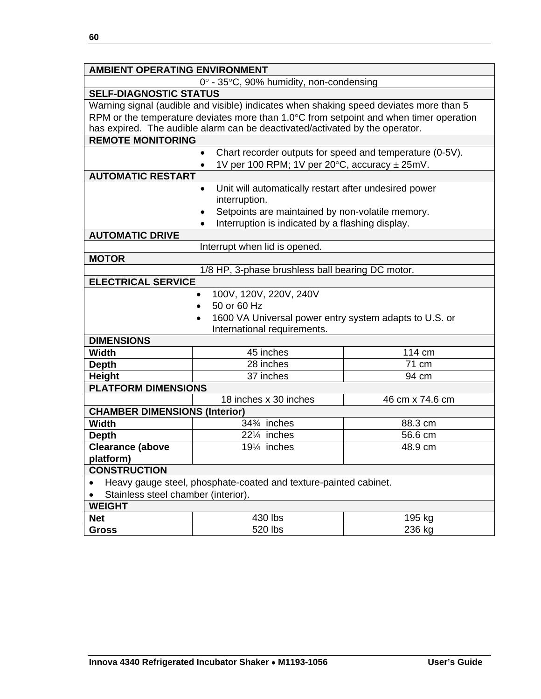|                                                                                                         | <b>AMBIENT OPERATING ENVIRONMENT</b>                                                   |                  |  |
|---------------------------------------------------------------------------------------------------------|----------------------------------------------------------------------------------------|------------------|--|
|                                                                                                         | 0° - 35°C, 90% humidity, non-condensing                                                |                  |  |
| <b>SELF-DIAGNOSTIC STATUS</b>                                                                           |                                                                                        |                  |  |
|                                                                                                         | Warning signal (audible and visible) indicates when shaking speed deviates more than 5 |                  |  |
|                                                                                                         | RPM or the temperature deviates more than 1.0°C from setpoint and when timer operation |                  |  |
|                                                                                                         | has expired. The audible alarm can be deactivated/activated by the operator.           |                  |  |
| <b>REMOTE MONITORING</b>                                                                                |                                                                                        |                  |  |
|                                                                                                         | Chart recorder outputs for speed and temperature (0-5V).                               |                  |  |
|                                                                                                         | 1V per 100 RPM; 1V per 20 $\degree$ C, accuracy $\pm$ 25mV.                            |                  |  |
| <b>AUTOMATIC RESTART</b>                                                                                |                                                                                        |                  |  |
|                                                                                                         | Unit will automatically restart after undesired power<br>$\bullet$                     |                  |  |
|                                                                                                         | interruption.                                                                          |                  |  |
|                                                                                                         | Setpoints are maintained by non-volatile memory.                                       |                  |  |
|                                                                                                         | Interruption is indicated by a flashing display.                                       |                  |  |
| <b>AUTOMATIC DRIVE</b>                                                                                  |                                                                                        |                  |  |
| Interrupt when lid is opened.                                                                           |                                                                                        |                  |  |
| <b>MOTOR</b>                                                                                            |                                                                                        |                  |  |
|                                                                                                         | 1/8 HP, 3-phase brushless ball bearing DC motor.                                       |                  |  |
| <b>ELECTRICAL SERVICE</b>                                                                               |                                                                                        |                  |  |
|                                                                                                         | 100V, 120V, 220V, 240V                                                                 |                  |  |
|                                                                                                         | 50 or 60 Hz                                                                            |                  |  |
|                                                                                                         | 1600 VA Universal power entry system adapts to U.S. or<br>$\bullet$                    |                  |  |
|                                                                                                         | International requirements.                                                            |                  |  |
| <b>DIMENSIONS</b>                                                                                       |                                                                                        |                  |  |
| <b>Width</b>                                                                                            | 45 inches                                                                              | 114 cm           |  |
| <b>Depth</b>                                                                                            | 28 inches                                                                              | 71 cm            |  |
| <b>Height</b>                                                                                           | 37 inches                                                                              | 94 cm            |  |
| <b>PLATFORM DIMENSIONS</b>                                                                              |                                                                                        |                  |  |
|                                                                                                         | 18 inches x 30 inches                                                                  | 46 cm x 74.6 cm  |  |
| <b>CHAMBER DIMENSIONS (Interior)</b>                                                                    |                                                                                        | 88.3 cm          |  |
| <b>Width</b>                                                                                            | 34% inches                                                                             |                  |  |
| <b>Depth</b>                                                                                            | 221/ <sub>4</sub> inches<br>191⁄4 inches                                               | 56.6 cm          |  |
| Clearance (above                                                                                        |                                                                                        | 48.9 cm          |  |
| platform)                                                                                               |                                                                                        |                  |  |
| <b>CONSTRUCTION</b>                                                                                     |                                                                                        |                  |  |
| Heavy gauge steel, phosphate-coated and texture-painted cabinet.<br>Stainless steel chamber (interior). |                                                                                        |                  |  |
| <b>WEIGHT</b>                                                                                           |                                                                                        |                  |  |
|                                                                                                         | 430 lbs                                                                                |                  |  |
| <b>Net</b>                                                                                              | 520 lbs                                                                                | 195 kg<br>236 kg |  |
| Gross                                                                                                   |                                                                                        |                  |  |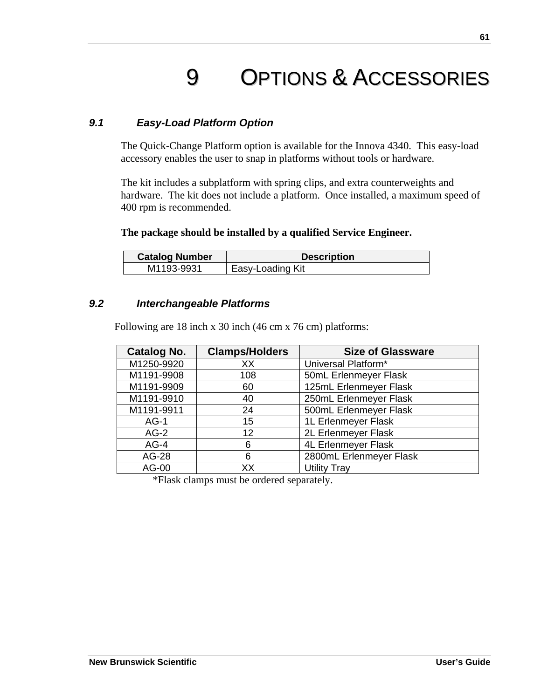# 9 OPTIONS & ACCESSORIES

## *9.1 Easy-Load Platform Option*

The Quick-Change Platform option is available for the Innova 4340. This easy-load accessory enables the user to snap in platforms without tools or hardware.

The kit includes a subplatform with spring clips, and extra counterweights and hardware. The kit does not include a platform. Once installed, a maximum speed of 400 rpm is recommended.

#### **The package should be installed by a qualified Service Engineer.**

| <b>Catalog Number</b> | <b>Description</b> |
|-----------------------|--------------------|
| M1193-9931            | Easy-Loading Kit   |

## *9.2 Interchangeable Platforms*

Following are 18 inch x 30 inch (46 cm x 76 cm) platforms:

| <b>Catalog No.</b> | <b>Clamps/Holders</b> | <b>Size of Glassware</b> |
|--------------------|-----------------------|--------------------------|
| M1250-9920         | XX                    | Universal Platform*      |
| M1191-9908         | 108                   | 50mL Erlenmeyer Flask    |
| M1191-9909         | 60                    | 125mL Erlenmeyer Flask   |
| M1191-9910         | 40                    | 250mL Erlenmeyer Flask   |
| M1191-9911         | 24                    | 500mL Erlenmeyer Flask   |
| $AG-1$             | 15                    | 1L Erlenmeyer Flask      |
| $AG-2$             | 12                    | 2L Erlenmeyer Flask      |
| $AG-4$             | 6                     | 4L Erlenmeyer Flask      |
| AG-28              | 6                     | 2800mL Erlenmeyer Flask  |
| AG-00              | XX.                   | <b>Utility Tray</b>      |

\*Flask clamps must be ordered separately.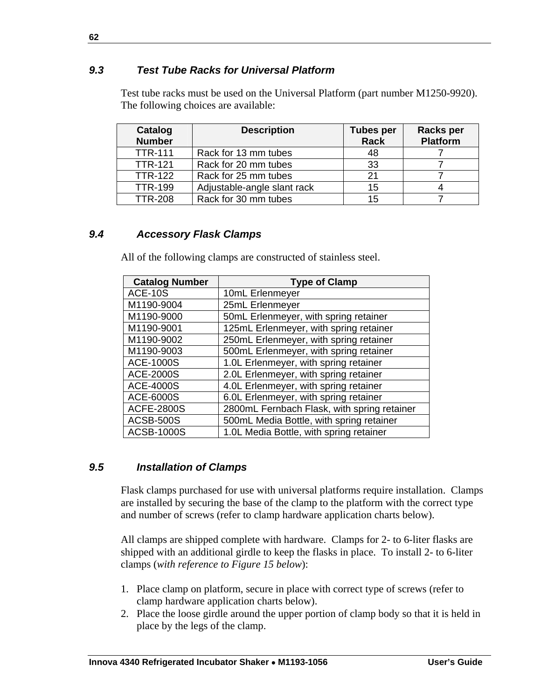## *9.3 Test Tube Racks for Universal Platform*

Test tube racks must be used on the Universal Platform (part number M1250-9920). The following choices are available:

| Catalog<br><b>Number</b> | <b>Description</b>          | <b>Tubes per</b><br><b>Rack</b> | <b>Racks per</b><br><b>Platform</b> |
|--------------------------|-----------------------------|---------------------------------|-------------------------------------|
| <b>TTR-111</b>           | Rack for 13 mm tubes        | 48                              |                                     |
| <b>TTR-121</b>           | Rack for 20 mm tubes        | 33                              |                                     |
| <b>TTR-122</b>           | Rack for 25 mm tubes        | 21                              |                                     |
| <b>TTR-199</b>           | Adjustable-angle slant rack | 15                              |                                     |
| <b>TTR-208</b>           | Rack for 30 mm tubes        | 15                              |                                     |

## *9.4 Accessory Flask Clamps*

All of the following clamps are constructed of stainless steel.

| <b>Catalog Number</b> | <b>Type of Clamp</b>                        |
|-----------------------|---------------------------------------------|
| <b>ACE-10S</b>        | 10mL Erlenmeyer                             |
| M1190-9004            | 25mL Erlenmeyer                             |
| M1190-9000            | 50mL Erlenmeyer, with spring retainer       |
| M1190-9001            | 125mL Erlenmeyer, with spring retainer      |
| M1190-9002            | 250mL Erlenmeyer, with spring retainer      |
| M1190-9003            | 500mL Erlenmeyer, with spring retainer      |
| <b>ACE-1000S</b>      | 1.0L Erlenmeyer, with spring retainer       |
| <b>ACE-2000S</b>      | 2.0L Erlenmeyer, with spring retainer       |
| <b>ACE-4000S</b>      | 4.0L Erlenmeyer, with spring retainer       |
| ACE-6000S             | 6.0L Erlenmeyer, with spring retainer       |
| <b>ACFE-2800S</b>     | 2800mL Fernbach Flask, with spring retainer |
| <b>ACSB-500S</b>      | 500mL Media Bottle, with spring retainer    |
| <b>ACSB-1000S</b>     | 1.0L Media Bottle, with spring retainer     |

## *9.5 Installation of Clamps*

Flask clamps purchased for use with universal platforms require installation. Clamps are installed by securing the base of the clamp to the platform with the correct type and number of screws (refer to clamp hardware application charts below).

All clamps are shipped complete with hardware. Clamps for 2- to 6-liter flasks are shipped with an additional girdle to keep the flasks in place. To install 2- to 6-liter clamps (*with reference to Figure 15 below*):

- 1. Place clamp on platform, secure in place with correct type of screws (refer to clamp hardware application charts below).
- 2. Place the loose girdle around the upper portion of clamp body so that it is held in place by the legs of the clamp.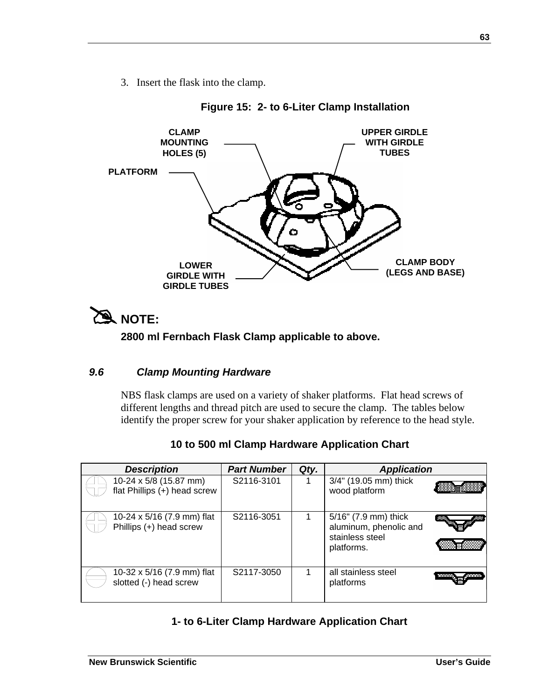3. Insert the flask into the clamp.





## **2800 ml Fernbach Flask Clamp applicable to above.**

## *9.6 Clamp Mounting Hardware*

NBS flask clamps are used on a variety of shaker platforms. Flat head screws of different lengths and thread pitch are used to secure the clamp. The tables below identify the proper screw for your shaker application by reference to the head style.

| <b>Description</b>                                     | <b>Part Number</b> | Qty. | <b>Application</b>                                                              |  |
|--------------------------------------------------------|--------------------|------|---------------------------------------------------------------------------------|--|
| 10-24 x 5/8 (15.87 mm)<br>flat Phillips (+) head screw | S2116-3101         |      | 3/4" (19.05 mm) thick<br>wood platform                                          |  |
| 10-24 x 5/16 (7.9 mm) flat<br>Phillips (+) head screw  | S2116-3051         |      | 5/16" (7.9 mm) thick<br>aluminum, phenolic and<br>stainless steel<br>platforms. |  |
| 10-32 x 5/16 (7.9 mm) flat<br>slotted (-) head screw   | S2117-3050         |      | all stainless steel<br>platforms                                                |  |

## **10 to 500 ml Clamp Hardware Application Chart**

## **1- to 6-Liter Clamp Hardware Application Chart**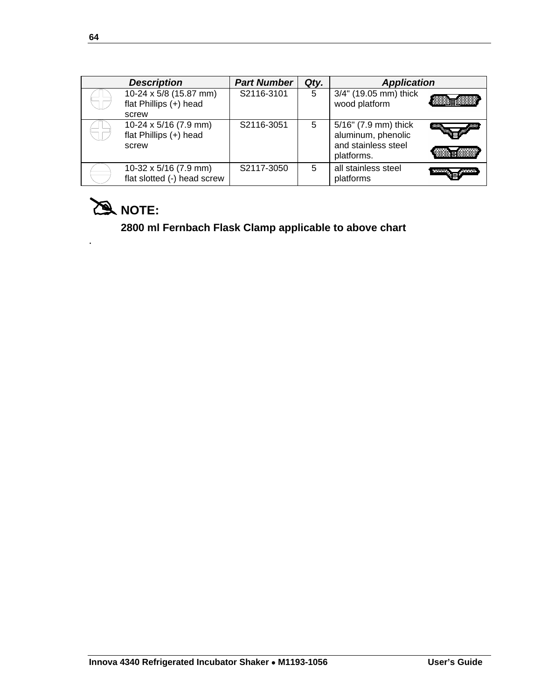| <b>Description</b> |                                                           | <b>Part Number</b> | Qty. | <b>Application</b>                                                              |  |
|--------------------|-----------------------------------------------------------|--------------------|------|---------------------------------------------------------------------------------|--|
|                    | 10-24 x 5/8 (15.87 mm)<br>flat Phillips (+) head<br>screw | S2116-3101         | 5    | 3/4" (19.05 mm) thick<br>wood platform                                          |  |
|                    | 10-24 x 5/16 (7.9 mm)<br>flat Phillips (+) head<br>screw  | S2116-3051         | 5    | 5/16" (7.9 mm) thick<br>aluminum, phenolic<br>and stainless steel<br>platforms. |  |
|                    | 10-32 x 5/16 (7.9 mm)<br>flat slotted (-) head screw      | S2117-3050         | 5    | all stainless steel<br>platforms                                                |  |

## # **NOTE:**

.

**2800 ml Fernbach Flask Clamp applicable to above chart**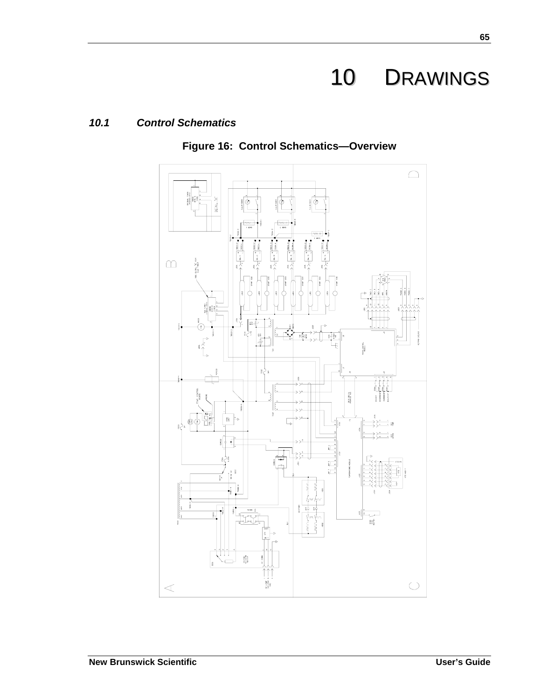## 10 DRAWINGS

## *10.1 Control Schematics*



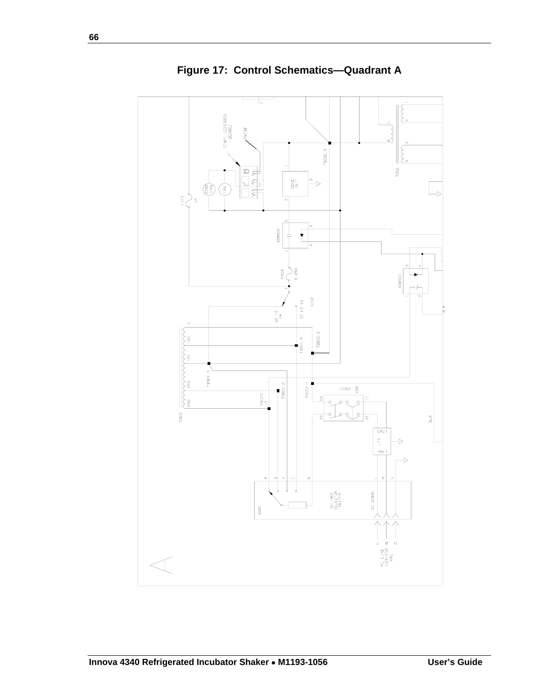

**Figure 17: Control Schematics—Quadrant A**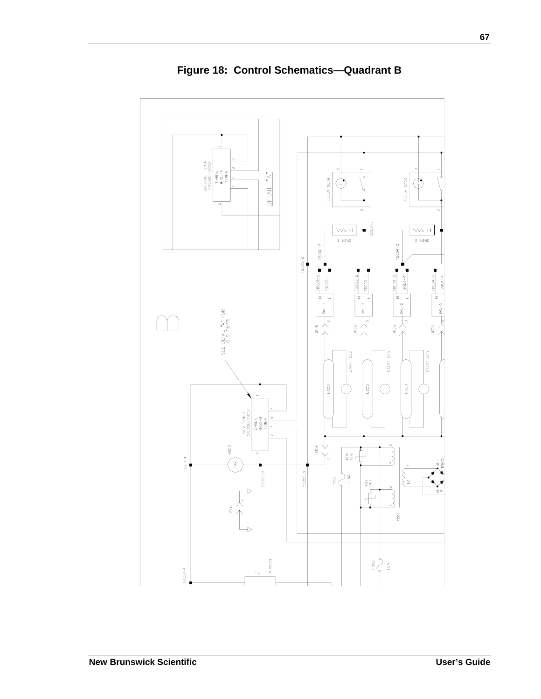

**Figure 18: Control Schematics—Quadrant B**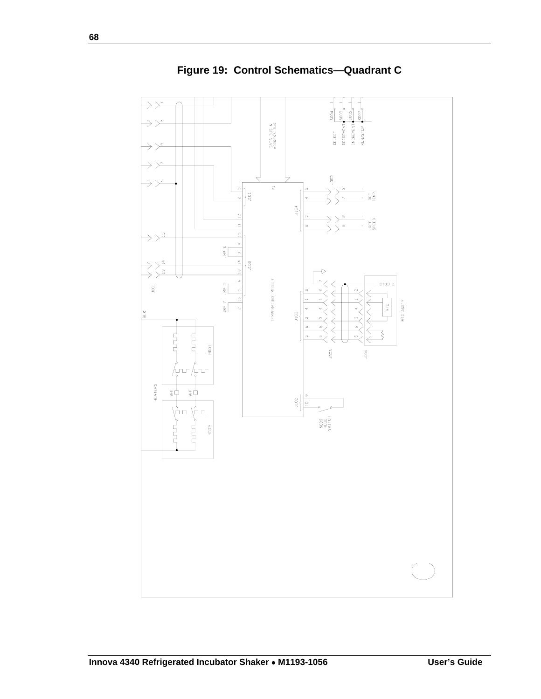

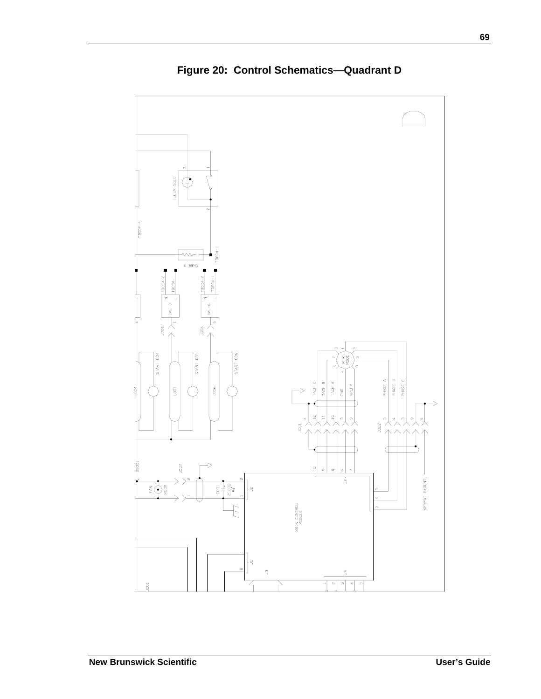

**Figure 20: Control Schematics—Quadrant D**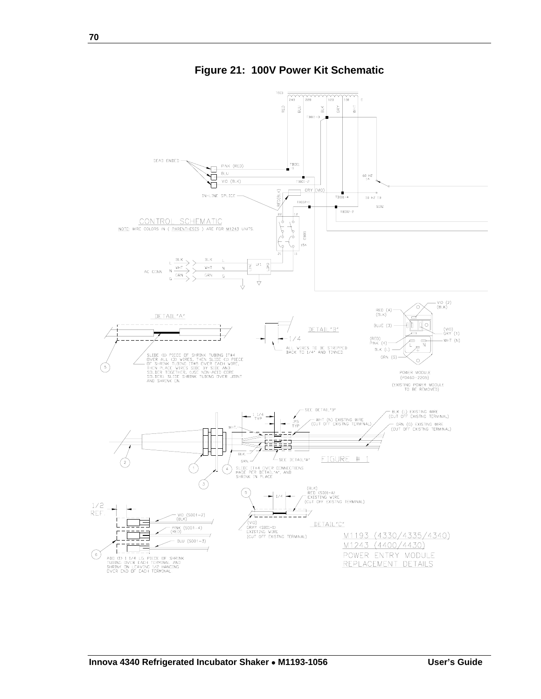**70** 



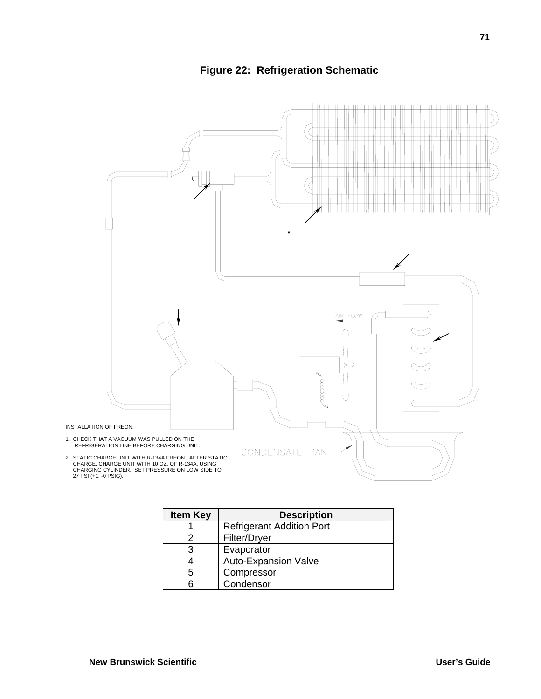



| <b>Item Key</b> | <b>Description</b>               |
|-----------------|----------------------------------|
|                 | <b>Refrigerant Addition Port</b> |
|                 | Filter/Dryer                     |
| 3               | Evaporator                       |
|                 | <b>Auto-Expansion Valve</b>      |
| 5               | Compressor                       |
|                 | Condensor                        |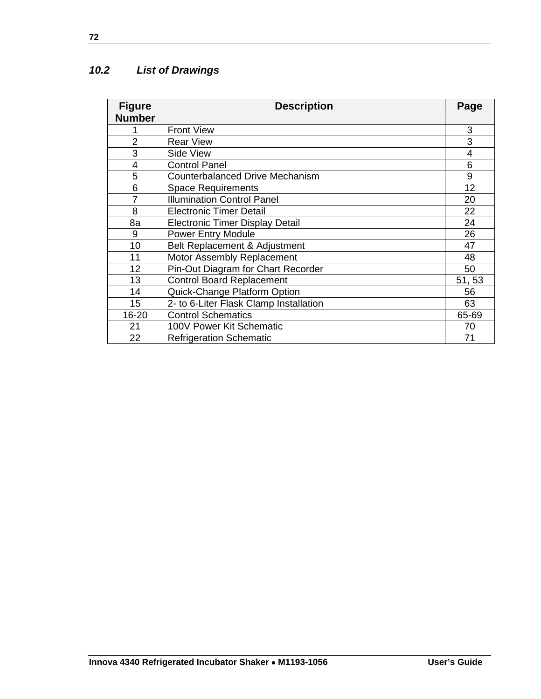## *10.2 List of Drawings*

| <b>Figure</b><br><b>Number</b> | <b>Description</b>                     | Page           |
|--------------------------------|----------------------------------------|----------------|
|                                | <b>Front View</b>                      | 3              |
| $\overline{2}$                 | <b>Rear View</b>                       | 3              |
| 3                              | Side View                              | $\overline{4}$ |
| 4                              | <b>Control Panel</b>                   | 6              |
| 5                              | Counterbalanced Drive Mechanism        | 9              |
| 6                              | <b>Space Requirements</b>              | 12             |
| 7                              | <b>Illumination Control Panel</b>      | 20             |
| 8                              | <b>Electronic Timer Detail</b>         | 22             |
| 8a                             | <b>Electronic Timer Display Detail</b> | 24             |
| 9                              | <b>Power Entry Module</b>              | 26             |
| 10                             | Belt Replacement & Adjustment          | 47             |
| 11                             | Motor Assembly Replacement             | 48             |
| 12                             | Pin-Out Diagram for Chart Recorder     | 50             |
| 13                             | <b>Control Board Replacement</b>       | 51, 53         |
| 14                             | Quick-Change Platform Option           | 56             |
| 15                             | 2- to 6-Liter Flask Clamp Installation | 63             |
| 16-20                          | <b>Control Schematics</b>              | 65-69          |
| 21                             | 100V Power Kit Schematic               | 70             |
| 22                             | <b>Refrigeration Schematic</b>         | 71             |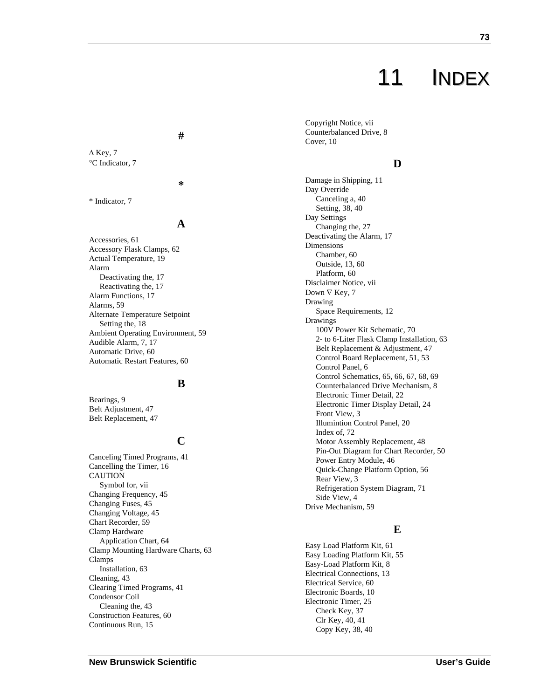## 11 INDEX

#### **#**

Δ Key, 7 °C Indicator, 7

#### **\***

\* Indicator, 7

#### **A**

Accessories, 61 Accessory Flask Clamps, 62 Actual Temperature, 19 Alarm Deactivating the, 17 Reactivating the, 17 Alarm Functions, 17 Alarms, 59 Alternate Temperature Setpoint Setting the, 18 Ambient Operating Environment, 59 Audible Alarm, 7, 17 Automatic Drive, 60 Automatic Restart Features, 60

#### **B**

Bearings, 9 Belt Adjustment, 47 Belt Replacement, 47

## **C**

Canceling Timed Programs, 41 Cancelling the Timer, 16 CAUTION Symbol for, vii Changing Frequency, 45 Changing Fuses, 45 Changing Voltage, 45 Chart Recorder, 59 Clamp Hardware Application Chart, 64 Clamp Mounting Hardware Charts, 63 Clamps Installation, 63 Cleaning, 43 Clearing Timed Programs, 41 Condensor Coil Cleaning the, 43 Construction Features, 60 Continuous Run, 15

Copyright Notice, vii Counterbalanced Drive, 8 Cover, 10

#### **D**

Damage in Shipping, 11 Day Override Canceling a, 40 Setting, 38, 40 Day Settings Changing the, 27 Deactivating the Alarm, 17 Dimensions Chamber, 60 Outside, 13, 60 Platform, 60 Disclaimer Notice, vii Down ∇ Key, 7 Drawing Space Requirements, 12 Drawings 100V Power Kit Schematic, 70 2- to 6-Liter Flask Clamp Installation, 63 Belt Replacement & Adjustment, 47 Control Board Replacement, 51, 53 Control Panel, 6 Control Schematics, 65, 66, 67, 68, 69 Counterbalanced Drive Mechanism, 8 Electronic Timer Detail, 22 Electronic Timer Display Detail, 24 Front View, 3 Illumintion Control Panel, 20 Index of, 72 Motor Assembly Replacement, 48 Pin-Out Diagram for Chart Recorder, 50 Power Entry Module, 46 Quick-Change Platform Option, 56 Rear View, 3 Refrigeration System Diagram, 71 Side View, 4 Drive Mechanism, 59

#### **E**

Easy Load Platform Kit, 61 Easy Loading Platform Kit, 55 Easy-Load Platform Kit, 8 Electrical Connections, 13 Electrical Service, 60 Electronic Boards, 10 Electronic Timer, 25 Check Key, 37 Clr Key, 40, 41 Copy Key, 38, 40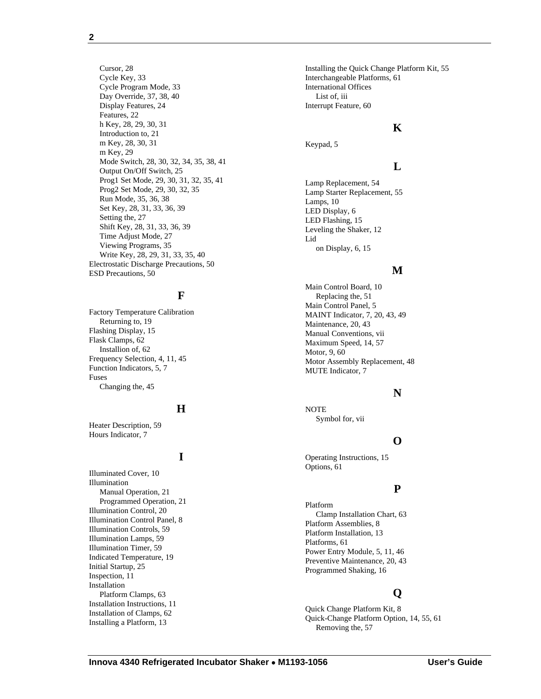Cursor, 28 Cycle Key, 33 Cycle Program Mode, 33 Day Override, 37, 38, 40 Display Features, 24 Features, 22 h Key, 28, 29, 30, 31 Introduction to, 21 m Key, 28, 30, 31 m Key, 29 Mode Switch, 28, 30, 32, 34, 35, 38, 41 Output On/Off Switch, 25 Prog1 Set Mode, 29, 30, 31, 32, 35, 41 Prog2 Set Mode, 29, 30, 32, 35 Run Mode, 35, 36, 38 Set Key, 28, 31, 33, 36, 39 Setting the, 27 Shift Key, 28, 31, 33, 36, 39 Time Adjust Mode, 27 Viewing Programs, 35 Write Key, 28, 29, 31, 33, 35, 40 Electrostatic Discharge Precautions, 50 ESD Precautions, 50

#### **F**

Factory Temperature Calibration Returning to, 19 Flashing Display, 15 Flask Clamps, 62 Installion of, 62 Frequency Selection, 4, 11, 45 Function Indicators, 5, 7 Fuses Changing the, 45

#### **H**

Heater Description, 59 Hours Indicator, 7

#### **I**

Illuminated Cover, 10 Illumination Manual Operation, 21 Programmed Operation, 21 Illumination Control, 20 Illumination Control Panel, 8 Illumination Controls, 59 Illumination Lamps, 59 Illumination Timer, 59 Indicated Temperature, 19 Initial Startup, 25 Inspection, 11 Installation Platform Clamps, 63 Installation Instructions, 11 Installation of Clamps, 62 Installing a Platform, 13

Installing the Quick Change Platform Kit, 55 Interchangeable Platforms, 61 International Offices List of, iii Interrupt Feature, 60

#### **K**

Keypad, 5

### **L**

Lamp Replacement, 54 Lamp Starter Replacement, 55 Lamps, 10 LED Display, 6 LED Flashing, 15 Leveling the Shaker, 12 Lid on Display, 6, 15

#### **M**

Main Control Board, 10 Replacing the, 51 Main Control Panel, 5 MAINT Indicator, 7, 20, 43, 49 Maintenance, 20, 43 Manual Conventions, vii Maximum Speed, 14, 57 Motor, 9, 60 Motor Assembly Replacement, 48 MUTE Indicator, 7

## **N**

**NOTE** Symbol for, vii

## **O**

Operating Instructions, 15 Options, 61

#### **P**

Platform Clamp Installation Chart, 63 Platform Assemblies, 8 Platform Installation, 13 Platforms, 61 Power Entry Module, 5, 11, 46 Preventive Maintenance, 20, 43 Programmed Shaking, 16

## **Q**

Quick Change Platform Kit, 8 Quick-Change Platform Option, 14, 55, 61 Removing the, 57